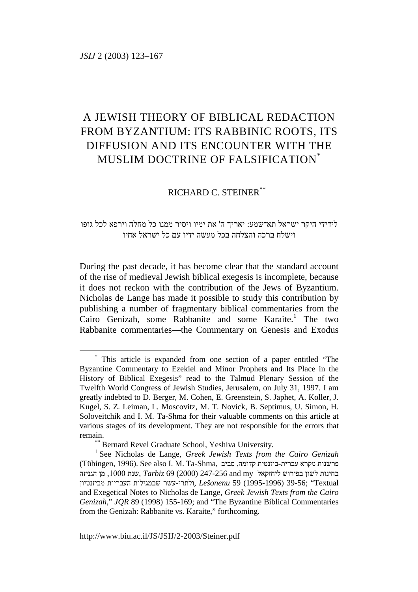# A JEWISH THEORY OF BIBLICAL REDACTION FROM BYZANTIUM: ITS RABBINIC ROOTS, ITS DIFFUSION AND ITS ENCOUNTER WITH THE MUSLIM DOCTRINE OF FALSIFICATION\*

# RICHARD C. STEINER\*\*

# לידידי היקר ישראל תא־שמע: יאריך ה' את ימיו ויסיר ממנו כל מחלה וירפא לכל גופו וישלח ברכה והצלחה בכל מעשה ידיו עם כל ישראל אחיו

During the past decade, it has become clear that the standard account of the rise of medieval Jewish biblical exegesis is incomplete, because it does not reckon with the contribution of the Jews of Byzantium. Nicholas de Lange has made it possible to study this contribution by publishing a number of fragmentary biblical commentaries from the Cairo Genizah, some Rabbanite and some Karaite.<sup>1</sup> The two Rabbanite commentaries—the Commentary on Genesis and Exodus

 <sup>\*</sup> This article is expanded from one section of a paper entitled "The Byzantine Commentary to Ezekiel and Minor Prophets and Its Place in the History of Biblical Exegesis" read to the Talmud Plenary Session of the Twelfth World Congress of Jewish Studies, Jerusalem, on July 31, 1997. I am greatly indebted to D. Berger, M. Cohen, E. Greenstein, S. Japhet, A. Koller, J. Kugel, S. Z. Leiman, L. Moscovitz, M. T. Novick, B. Septimus, U. Simon, H. Soloveitchik and I. M. Ta-Shma for their valuable comments on this article at various stages of its development. They are not responsible for the errors that remain.<br>
\*\*\* Bernard Revel Graduate School, Yeshiva University.

<sup>1</sup> See Nicholas de Lange, *Greek Jewish Texts from the Cairo Genizah* (Tübingen, 1996). See also I. M. Ta-Shma, סביב ,קדומה ביזנטית-עברית מקרא פרשנות בחינות לשון בפירוש ליחזקאל my and 247-256) 2000 (69 *Tarbiz* ,שנת ,1000 מן הגניזה Textual; "39-56) 1995-1996 (59 *Lešonenu* ,ולתרי-עשר שבמגילות העבריות מביזנטיון and Exegetical Notes to Nicholas de Lange, *Greek Jewish Texts from the Cairo Genizah*," *JQR* 89 (1998) 155-169; and "The Byzantine Biblical Commentaries from the Genizah: Rabbanite vs. Karaite," forthcoming.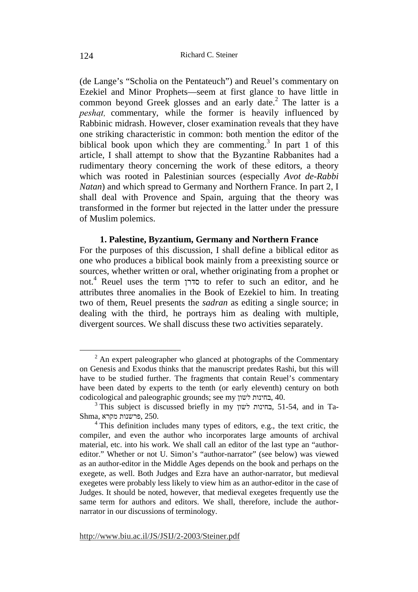(de Lange's "Scholia on the Pentateuch") and Reuel's commentary on Ezekiel and Minor Prophets—seem at first glance to have little in common beyond Greek glosses and an early date. $^2$  The latter is a *peshat*, commentary, while the former is heavily influenced by Rabbinic midrash. However, closer examination reveals that they have one striking characteristic in common: both mention the editor of the biblical book upon which they are commenting.<sup>3</sup> In part 1 of this article, I shall attempt to show that the Byzantine Rabbanites had a rudimentary theory concerning the work of these editors, a theory which was rooted in Palestinian sources (especially *Avot de-Rabbi Natan*) and which spread to Germany and Northern France. In part 2, I shall deal with Provence and Spain, arguing that the theory was transformed in the former but rejected in the latter under the pressure of Muslim polemics.

#### **1. Palestine, Byzantium, Germany and Northern France**

For the purposes of this discussion, I shall define a biblical editor as one who produces a biblical book mainly from a preexisting source or sources, whether written or oral, whether originating from a prophet or not.<sup>4</sup> Reuel uses the term סדרן to refer to such an editor, and he attributes three anomalies in the Book of Ezekiel to him. In treating two of them, Reuel presents the *sadran* as editing a single source; in dealing with the third, he portrays him as dealing with multiple, divergent sources. We shall discuss these two activities separately.

 <sup>2</sup>  $2$  An expert paleographer who glanced at photographs of the Commentary on Genesis and Exodus thinks that the manuscript predates Rashi, but this will have to be studied further. The fragments that contain Reuel's commentary have been dated by experts to the tenth (or early eleventh) century on both codicological and paleographic grounds; see my לשון בחינות, 40.

<sup>3</sup> This subject is discussed briefly in my לשון בחינות, 51-54, and in Ta-Shma, מקרא פרשנות, 250.

<sup>&</sup>lt;sup>4</sup> This definition includes many types of editors, e.g., the text critic, the compiler, and even the author who incorporates large amounts of archival material, etc. into his work. We shall call an editor of the last type an "authoreditor." Whether or not U. Simon's "author-narrator" (see below) was viewed as an author-editor in the Middle Ages depends on the book and perhaps on the exegete, as well. Both Judges and Ezra have an author-narrator, but medieval exegetes were probably less likely to view him as an author-editor in the case of Judges. It should be noted, however, that medieval exegetes frequently use the same term for authors and editors. We shall, therefore, include the authornarrator in our discussions of terminology.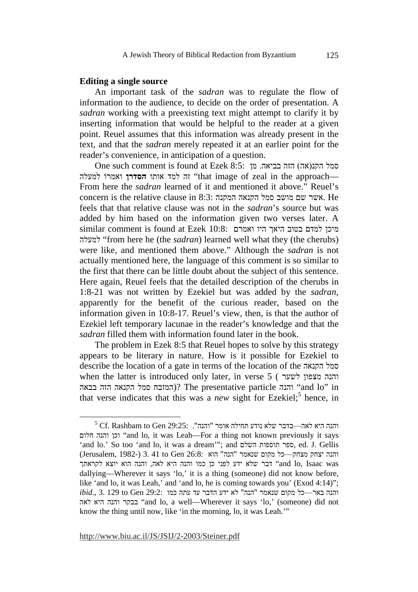#### **Editing a single source**

An important task of the *sadran* was to regulate the flow of information to the audience, to decide on the order of presentation. A *sadran* working with a preexisting text might attempt to clarify it by inserting information that would be helpful to the reader at a given point. Reuel assumes that this information was already present in the text, and that the *sadran* merely repeated it at an earlier point for the reader's convenience, in anticipation of a question.

One such comment is found at Ezek 8:5: סמל הקנ(אה) הזה בביאה, מן למעלה ואמרוֹ למעלה "that image of zeal in the approach— From here the *sadran* learned of it and mentioned it above." Reuel's concern is the relative clause in 8:3: המקנה הקנאה סמל מושב שם אשר. He feels that that relative clause was not in the *sadran*'s source but was added by him based on the information given two verses later. A מיכן למדם בטוב היאך היו ואמרם 10:8: Ezek at found is comment similar למעלה" from here he (the *sadran*) learned well what they (the cherubs) were like, and mentioned them above." Although the *sadran* is not actually mentioned here, the language of this comment is so similar to the first that there can be little doubt about the subject of this sentence. Here again, Reuel feels that the detailed description of the cherubs in 1:8-21 was not written by Ezekiel but was added by the *sadran*, apparently for the benefit of the curious reader, based on the information given in 10:8-17. Reuel's view, then, is that the author of Ezekiel left temporary lacunae in the reader's knowledge and that the *sadran* filled them with information found later in the book.

The problem in Ezek 8:5 that Reuel hopes to solve by this strategy appears to be literary in nature. How is it possible for Ezekiel to describe the location of a gate in terms of the location of the הקנאה סמל when the latter is introduced only later, in verse 5 ( לשער מצפון והנה in" lo and "והנה particle presentative The)? המזבח סמל הקנאה הזה בבאה that verse indicates that this was a *new* sight for Ezekiel;<sup>5</sup> hence, in

 $rac{1}{5}$  $^5$  Cf. Rashbam to Gen 29:25: והנה". והנה היא לאה—בדבר שלא נודע תחילה אומר "והנה חלום והנה וכן" and lo, it was Leah—For a thing not known previously it says 'and lo.' So too 'and lo, it was a dream'"; and השלם תוספות ספר, ed. J. Gellis והנה יצחק מצחק כל מקום שנאמר "הנה" הוא 3.41 to Gen 26:8: (Jerusalem, 1982-) 1.41 to Gen 26:8: was Isaac ,lo and "דבר שלא ידע לפני כן כמו והנה היא לאה, והנה הוא יוצא לקראתך dallying—Wherever it says 'lo,' it is a thing (someone) did not know before, like 'and lo, it was Leah,' and 'and lo, he is coming towards you' (Exod 4:14)";  $ibid.,$  3. 129 to Gen 29:2: והנה באר—כל מקום שנאמר "הנה" לא ידע הדבר עד עתה כמו לאה היא והנה בבקר" and lo, a well—Wherever it says 'lo,' (someone) did not know the thing until now, like 'in the morning, lo, it was Leah.'"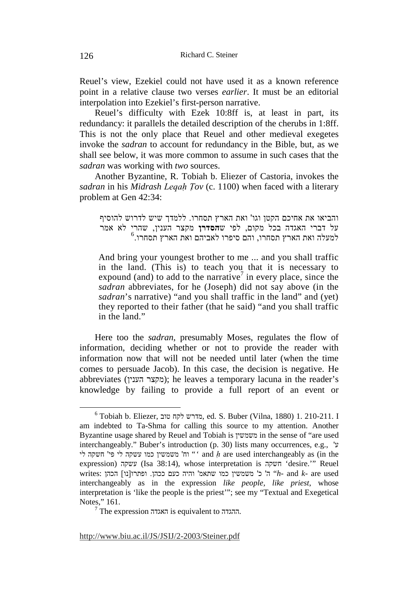Reuel's view, Ezekiel could not have used it as a known reference point in a relative clause two verses *earlier*. It must be an editorial interpolation into Ezekiel's first-person narrative.

Reuel's difficulty with Ezek 10:8ff is, at least in part, its redundancy: it parallels the detailed description of the cherubs in 1:8ff. This is not the only place that Reuel and other medieval exegetes invoke the *sadran* to account for redundancy in the Bible, but, as we shall see below, it was more common to assume in such cases that the *sadran* was working with *two* sources.

Another Byzantine, R. Tobiah b. Eliezer of Castoria, invokes the *sadran* in his *Midrash Legah Tov* (c. 1100) when faced with a literary problem at Gen 42:34:

והביאו את אחיכם הקטן וגו' ואת הארץ תסחרו. ללמדך שיש לדרוש להוסיף על דברי האגדה בכל מקום, לפי ש**הסדרן** מקצר הענין, שהרי לא אמר  $^6$ למעלה ואת הארץ תסחרו, והם סיפרו לאביהם ואת הארץ תסחרו.

And bring your youngest brother to me ... and you shall traffic in the land. (This is) to teach you that it is necessary to expound (and) to add to the narrative<sup>7</sup> in every place, since the *sadran* abbreviates, for he (Joseph) did not say above (in the *sadran*'s narrative) "and you shall traffic in the land" and (yet) they reported to their father (that he said) "and you shall traffic in the land."

Here too the *sadran*, presumably Moses, regulates the flow of information, deciding whether or not to provide the reader with information now that will not be needed until later (when the time comes to persuade Jacob). In this case, the decision is negative. He abbreviates (מקצר הענין); he leaves a temporary lacuna in the reader's knowledge by failing to provide a full report of an event or

 $\overline{6}$  $^6$ Tobiah b. Eliezer, מדרש לקח ed. S. Buber (Vilna, 1880) 1. 210-211. I am indebted to Ta-Shma for calling this source to my attention. Another Byzantine usage shared by Reuel and Tobiah is משמשין in the sense of "are used interchangeably." Buber's introduction (p. 30) lists many occurrences, e.g., 'ע the in (as interchangeably used are *̣ h* and "*'* וח' משמשין כמו עשקה לי פי' חשקה לי expression) עשקה) Isa 38:14), whose interpretation is חשקה' desire.'" Reuel used -*k* - and  $k$ - are used -<sup>4</sup> ה' כ' משמשין כמו שתאמ' והיה כעם ככהן. ופתרו[נו] הכהן :writes interchangeably as in the expression *like people, like priest*, whose interpretation is 'like the people is the priest'"; see my "Textual and Exegetical Notes," 161.

 $7$  The expression האגדה is equivalent to ההגדה.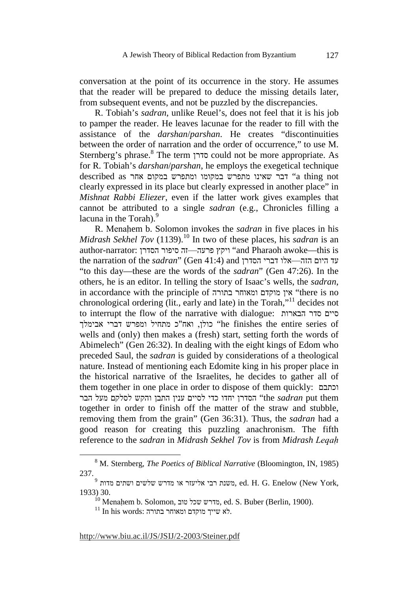conversation at the point of its occurrence in the story. He assumes that the reader will be prepared to deduce the missing details later, from subsequent events, and not be puzzled by the discrepancies.

R. Tobiah's *sadran*, unlike Reuel's, does not feel that it is his job to pamper the reader. He leaves lacunae for the reader to fill with the assistance of the *darshan*/*parshan*. He creates "discontinuities between the order of narration and the order of occurrence," to use M. Sternberg's phrase.<sup>8</sup> The term סדרן could not be more appropriate. As for R. Tobiah's *darshan*/*parshan*, he employs the exegetical technique described as הבר שאינו מתפרש במקומו ומתפרש במקום אחר  $\,^{\prime\prime}$ a thing not clearly expressed in its place but clearly expressed in another place" in *Mishnat Rabbi Eliezer*, even if the latter work gives examples that cannot be attributed to a single *sadran* (e.g., Chronicles filling a lacuna in the Torah). $9$ 

R. Menahem b. Solomon invokes the *sadran* in five places in his *Midrash Sekhel Tov* (1139).<sup>10</sup> In two of these places, his *sadran* is an author-narrator: ויקץ פרעה ויקא יפור הסדרן "and Pharaoh awoke—this is the narration of the *sadran*" (Gen 41:4) and הזה—אלו דברי הסדרן "to this day—these are the words of the *sadran*" (Gen 47:26). In the others, he is an editor. In telling the story of Isaac's wells, the *sadran*, in accordance with the principle of בתורה ומאוחר מוקדם אין" there is no chronological ordering (lit., early and late) in the Torah,"11 decides not to interrupt the flow of the narrative with dialogue: הבארות סדר סיים of series entire the finishes he "כולן, ואח"כ מתחיל ומפרש דברי אבימלך wells and (only) then makes a (fresh) start, setting forth the words of Abimelech" (Gen 26:32). In dealing with the eight kings of Edom who preceded Saul, the *sadran* is guided by considerations of a theological nature. Instead of mentioning each Edomite king in his proper place in the historical narrative of the Israelites, he decides to gather all of them together in one place in order to dispose of them quickly: וכתבם them put *sadran* the "הסדרן יחדו כדי לסיים ענין התבן והקש לסלקם מעל הבר together in order to finish off the matter of the straw and stubble, removing them from the grain" (Gen 36:31). Thus, the *sadran* had a good reason for creating this puzzling anachronism. The fifth reference to the *sadran* in *Midrash Sekhel Tov* is from *Midrash Legah* 

 <sup>8</sup> M. Sternberg, *The Poetics of Biblical Narrative* (Bloomington, IN, 1985) 237.

 $^9$ משנת רבי אליעזר או מדרש שלשים ושתים , ed. H. G. Enelow (New York, 1933) 30.

 $^{10}$  Menahem b. Solomon, מדרש שכל מוב, ed. S. Buber (Berlin, 1900).

 $^{11}$  In his words: לא שייך מוקדם ומאוחר בתורה.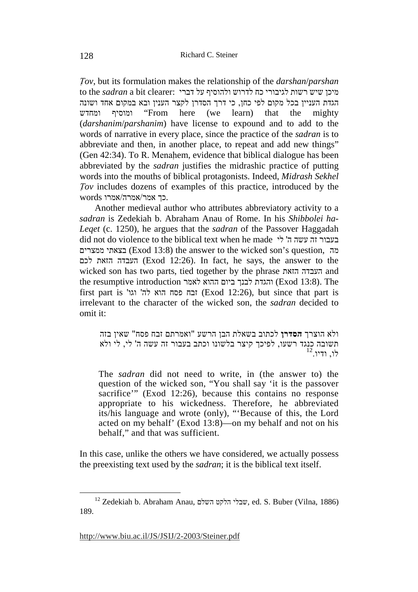*Tov*, but its formulation makes the relationship of the *darshan/parshan* מיכן שיש רשות לגיבורי כח לדרוש ולהוסיף על דברי :clearer bit a *sadran* the to הגדת העניין בכל מקום לפי כחן, כי דרך הסדרן לקצר הענין ובא במקום אחד ושונה ומחדש ומוסיף" From here (we learn) that the mighty (*darshanim*/*parshanim*) have license to expound and to add to the words of narrative in every place, since the practice of the *sadran* is to abbreviate and then, in another place, to repeat and add new things" (Gen  $42:34$ ). To R. Menahem, evidence that biblical dialogue has been abbreviated by the *sadran* justifies the midrashic practice of putting words into the mouths of biblical protagonists. Indeed, *Midrash Sekhel Tov* includes dozens of examples of this practice, introduced by the .כך אמר/אמרה/אמרו words

Another medieval author who attributes abbreviatory activity to a *sadran* is Zedekiah b. Abraham Anau of Rome. In his *Shibbolei ha-Leqet* (c. 1250), he argues that the *sadran* of the Passover Haggadah did not do violence to the biblical text when he made לי ' ה עשה זה בעבור ממצרים בצאתי) Exod 13:8) the answer to the wicked son's question, מה לכם הזאת העבדה) Exod 12:26). In fact, he says, the answer to the wicked son has two parts, tied together by the phrase הזאת העבדה and the resumptive introduction והגדת לבנך ביום ההוא לאמר (Exod 13:8). The first part is 'וגו' לה' וגו' (Exod 12:26), but since that part is irrelevant to the character of the wicked son, the *sadran* decided to omit it:

ולא הוצרך **הסדרן** לכתוב בשאלת הבן הרשע "ואמרתם זבח פסח" שאין בזה תשובה כנגד רשעו, לפיכך קיצר בלשונו וכתב בעבור זה עשה ה' לי, לי ולא  $^{12}$ . ודיו

The *sadran* did not need to write, in (the answer to) the question of the wicked son, "You shall say 'it is the passover sacrifice'" (Exod 12:26), because this contains no response appropriate to his wickedness. Therefore, he abbreviated its/his language and wrote (only), "'Because of this, the Lord acted on my behalf' (Exod 13:8)—on my behalf and not on his behalf," and that was sufficient.

In this case, unlike the others we have considered, we actually possess the preexisting text used by the *sadran*; it is the biblical text itself.

 $^{12}$  Zedekiah b. Abraham Anau, שבלי הלקט השלם, ed. S. Buber (Vilna, 1886) 189.

http://www.biu.ac.il/JS/JSIJ/2-2003/Steiner.pdf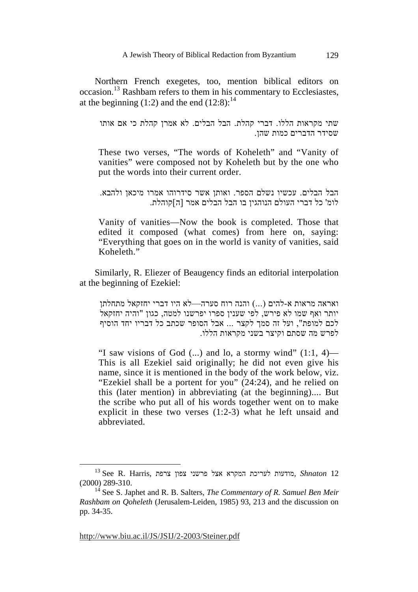Northern French exegetes, too, mention biblical editors on occasion.13 Rashbam refers to them in his commentary to Ecclesiastes, at the beginning  $(1:2)$  and the end  $(12:8)$ :<sup>14</sup>

שתי מקראות הללו. דברי קהלת. הבל הבלים. לא אמרן קהלת כי אם אותו שסידר הדברים כמות שהן.

These two verses, "The words of Koheleth" and "Vanity of vanities" were composed not by Koheleth but by the one who put the words into their current order.

הבל הבלים. עכשיו נשלם הספר. ואותן אשר סידרוהו אמרו מיכאן ולהבא. לומ' כל דברי העולם הנוהגין בו הבל הבלים אמר [ה]קוהלת.

Vanity of vanities—Now the book is completed. Those that edited it composed (what comes) from here on, saying: "Everything that goes on in the world is vanity of vanities, said Koheleth<sup>"</sup>

Similarly, R. Eliezer of Beaugency finds an editorial interpolation at the beginning of Ezekiel:

ואראה מראות א-להים (...) והנה רוח סערה—לא היו דברי יחזקאל מתחלתן יותר ואף שמו לא פירש, לפי שענין ספרו יפרשנו למטה, כגון "והיה יחזקאל לכם למופת", ועל זה סמך לקצר ... אבל הסופר שכתב כל דבריו יחד הוסיף לפרש מה שסתם וקיצר בשני מקראות הללו .

"I saw visions of God  $(...)$  and lo, a stormy wind"  $(1:1, 4)$ — This is all Ezekiel said originally; he did not even give his name, since it is mentioned in the body of the work below, viz. "Ezekiel shall be a portent for you" (24:24), and he relied on this (later mention) in abbreviating (at the beginning).... But the scribe who put all of his words together went on to make explicit in these two verses (1:2-3) what he left unsaid and abbreviated.

 $^{13}$  See R. Harris, מודעות אצל פרשני צפון צרפת , Shnaton $\,$  12 (2000) 289-310.

<sup>14</sup> See S. Japhet and R. B. Salters, *The Commentary of R. Samuel Ben Meir Rashbam on Qoheleth* (Jerusalem-Leiden, 1985) 93, 213 and the discussion on pp. 34-35.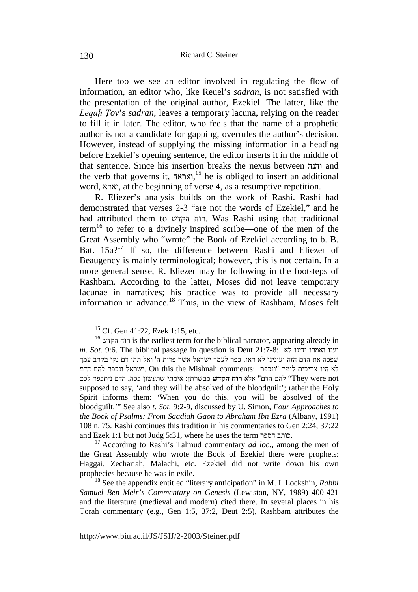Here too we see an editor involved in regulating the flow of information, an editor who, like Reuel's *sadran*, is not satisfied with the presentation of the original author, Ezekiel. The latter, like the *Legah Tov*'s *sadran*, leaves a temporary lacuna, relying on the reader to fill it in later. The editor, who feels that the name of a prophetic author is not a candidate for gapping, overrules the author's decision. However, instead of supplying the missing information in a heading before Ezekiel's opening sentence, the editor inserts it in the middle of that sentence. Since his insertion breaks the nexus between והנה and the verb that governs it, ואראה, 15 he is obliged to insert an additional word, וארא, at the beginning of verse 4, as a resumptive repetition.

R. Eliezer's analysis builds on the work of Rashi. Rashi had demonstrated that verses 2-3 "are not the words of Ezekiel," and he had attributed them to הקדש רוח. Was Rashi using that traditional term16 to refer to a divinely inspired scribe—one of the men of the Great Assembly who "wrote" the Book of Ezekiel according to b. B. Bat.  $15a$ ?<sup>17</sup> If so, the difference between Rashi and Eliezer of Beaugency is mainly terminological; however, this is not certain. In a more general sense, R. Eliezer may be following in the footsteps of Rashbam. According to the latter, Moses did not leave temporary lacunae in narratives; his practice was to provide all necessary information in advance.18 Thus, in the view of Rashbam, Moses felt

<sup>&</sup>lt;sup>15</sup> Cf. Gen 41:22, Ezek 1:15, etc.

<sup>&</sup>lt;sup>16</sup> רוח הקדש is the earliest term for the biblical narrator, appearing already in *m. Sot.* 9:6. The biblical passage in question is Deut 21:7-8: לא ידינו ואמרו וענו שפכה את הדם הזה ועינינו לא ראו. כפר לעמך ישראל אשר פדית ה' ואל תתן דם נקי בקרב עמך לא היו צריכים לומר "ונכפר :comments Mishnah the this On .ישראל ונכפר להם הדם not were They "להם הדם" אלא **רוח הקדש** מבשרתן: אימתי שתעשון ככה, הדם ניתכפר לכם supposed to say, 'and they will be absolved of the bloodguilt'; rather the Holy Spirit informs them: 'When you do this, you will be absolved of the bloodguilt.'" See also *t. Sot.* 9:2-9, discussed by U. Simon, *Four Approaches to the Book of Psalms: From Saadiah Gaon to Abraham Ibn Ezra* (Albany, 1991) 108 n. 75. Rashi continues this tradition in his commentaries to Gen 2:24, 37:22 and Ezek 1:1 but not Judg 5:31, where he uses the term הספר כותב. 17 According to Rashi's Talmud commentary *ad loc*., among the men of

the Great Assembly who wrote the Book of Ezekiel there were prophets: Haggai, Zechariah, Malachi, etc. Ezekiel did not write down his own prophecies because he was in exile.

<sup>18</sup> See the appendix entitled "literary anticipation" in M. I. Lockshin, *Rabbi Samuel Ben Meir's Commentary on Genesis* (Lewiston, NY, 1989) 400-421 and the literature (medieval and modern) cited there. In several places in his Torah commentary (e.g., Gen 1:5, 37:2, Deut 2:5), Rashbam attributes the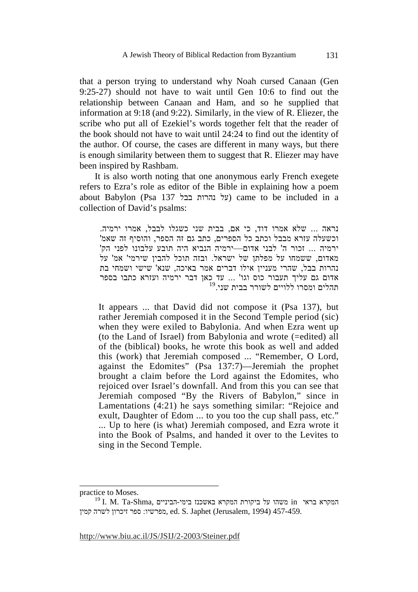that a person trying to understand why Noah cursed Canaan (Gen 9:25-27) should not have to wait until Gen 10:6 to find out the relationship between Canaan and Ham, and so he supplied that information at 9:18 (and 9:22). Similarly, in the view of R. Eliezer, the scribe who put all of Ezekiel's words together felt that the reader of the book should not have to wait until 24:24 to find out the identity of the author. Of course, the cases are different in many ways, but there is enough similarity between them to suggest that R. Eliezer may have been inspired by Rashbam.

It is also worth noting that one anonymous early French exegete refers to Ezra's role as editor of the Bible in explaining how a poem about Babylon (Psa 137 בבל נהרות על (came to be included in a collection of David's psalms:

נראה ... שלא אמרו דוד, כי אם, בבית שני כשגלו לבבל, אמרו ירמיה . וכשעלה עזרא מבבל וכתב כל הספרים, כתב גם זה הספר, והוסיף זה שאמ' ירמיה ... זכור ה' לבני אדום—ירמיה הנביא היה תובע עלבונו לפני הק' מאדום, ששמחו על מפלתן של ישראל. ובזה תוכל להבין שירמי' מא ' על נהרות בבל, שהרי מעניין אילו דברים אמר באיכה, שנא' שישי ושמחי בת אדום גם עליך תעבור כוס וגו' ... עד כאן דבר ירמיה ועזרא כתבו בספר 19 תהלים ומסרו ללויים לשורר בבית שני.

It appears ... that David did not compose it (Psa 137), but rather Jeremiah composed it in the Second Temple period (sic) when they were exiled to Babylonia. And when Ezra went up (to the Land of Israel) from Babylonia and wrote (=edited) all of the (biblical) books, he wrote this book as well and added this (work) that Jeremiah composed ... "Remember, O Lord, against the Edomites" (Psa 137:7)—Jeremiah the prophet brought a claim before the Lord against the Edomites, who rejoiced over Israel's downfall. And from this you can see that Jeremiah composed "By the Rivers of Babylon," since in Lamentations (4:21) he says something similar: "Rejoice and exult, Daughter of Edom ... to you too the cup shall pass, etc." ... Up to here (is what) Jeremiah composed, and Ezra wrote it into the Book of Psalms, and handed it over to the Levites to sing in the Second Temple.

http://www.biu.ac.il/JS/JSIJ/2-2003/Steiner.pdf

practice to Moses.

 $^{19}$ I. M. Ta-Shma, המקרא בראי in משהו על ביקורת המקרא המקרא המקרא ה 457-459. (Jerusalem, 1994) , מפרשיו: ספר זיכרון לשרה קמין ed. S. Japhet (Jerusalem, 1994) a57-459.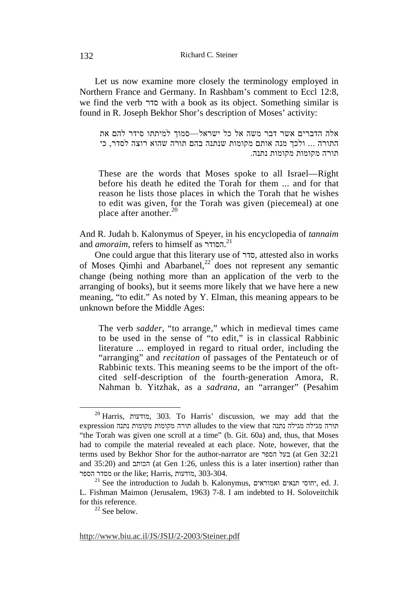Let us now examine more closely the terminology employed in Northern France and Germany. In Rashbam's comment to Eccl 12:8, we find the verb סדר with a book as its object. Something similar is found in R. Joseph Bekhor Shor's description of Moses' activity:

אלה הדברים אשר דבר משה אל כל ישראל—סמוך למיתתו סידר להם את התורה ... ולכך מנה אותם מקומות שנתנה בהם תורה שהוא רוצה לסדר, כי תורה מקומות מקומות נתנה.

These are the words that Moses spoke to all Israel—Right before his death he edited the Torah for them ... and for that reason he lists those places in which the Torah that he wishes to edit was given, for the Torah was given (piecemeal) at one place after another. $20$ 

And R. Judah b. Kalonymus of Speyer, in his encyclopedia of *tannaim* and *amoraim*, refers to himself as הסודר. 21

One could argue that this literary use of סדר, attested also in works of Moses Qimhi and Abarbanel, $^{22}$  does not represent any semantic change (being nothing more than an application of the verb to the arranging of books), but it seems more likely that we have here a new meaning, "to edit." As noted by Y. Elman, this meaning appears to be unknown before the Middle Ages:

The verb *sadder*, "to arrange," which in medieval times came to be used in the sense of "to edit," is in classical Rabbinic literature ... employed in regard to ritual order, including the "arranging" and *recitation* of passages of the Pentateuch or of Rabbinic texts. This meaning seems to be the import of the oftcited self-description of the fourth-generation Amora, R. Nahman b. Yitzhak, as a *sadrana*, an "arranger" (Pesahim

<sup>22</sup> See below.

 <sup>20</sup> Harris, מודעות, 303. To Harris' discussion, we may add that the תורה מגילה מגילה נתנה alludes to the view that תורה מקומות נתנה expression "the Torah was given one scroll at a time" (b. Git. 60a) and, thus, that Moses had to compile the material revealed at each place. Note, however, that the terms used by Bekhor Shor for the author-narrator are בעל הספר (at Gen 32:21 and 35:20) and הכותב) at Gen 1:26, unless this is a later insertion) rather than הספר מסדר or the like; Harris, מודעות, 303-304.

 $^{21}$  See the introduction to Judah b. Kalonymus, יחוסי תנאים יחוסי, ed. J. L. Fishman Maimon (Jerusalem, 1963) 7-8. I am indebted to H. Soloveitchik for this reference.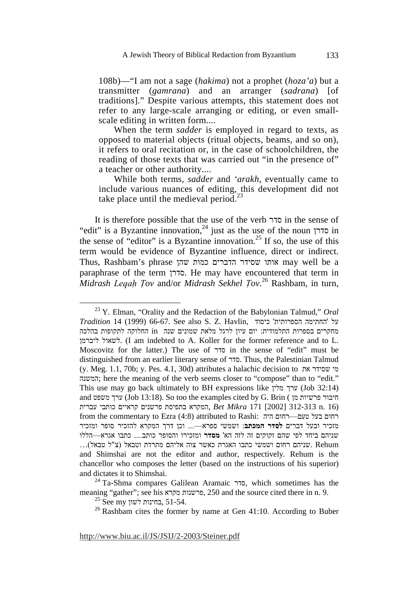108b)—"I am not a sage (*hakima*) not a prophet (*hoza'a*) but a transmitter (*gamrana*) and an arranger (*sadrana*) [of traditions]." Despite various attempts, this statement does not refer to any large-scale arranging or editing, or even smallscale editing in written form....

When the term *sadder* is employed in regard to texts, as opposed to material objects (ritual objects, beams, and so on), it refers to oral recitation or, in the case of schoolchildren, the reading of those texts that was carried out "in the presence of" a teacher or other authority....

While both terms, *sadder* and *'arakh*, eventually came to include various nuances of editing, this development did not take place until the medieval period.<sup>23</sup>

It is therefore possible that the use of the verb סדר in the sense of "edit" is a Byzantine innovation,<sup>24</sup> just as the use of the noun  $\overline{p}$  in the sense of "editor" is a Byzantine innovation.<sup>25</sup> If so, the use of this term would be evidence of Byzantine influence, direct or indirect. Thus, Rashbam's phrase שהן כמות הדברים שסידר אותו may well be a paraphrase of the term סדרן. He may have encountered that term in *Midrash Leqah Tov and/or Midrash Sekhel Tov.*<sup>26</sup> Rashbam, in turn,

 <sup>23</sup> Y. Elman, "Orality and the Redaction of the Babylonian Talmud," *Oral Tradition* 14 (1999) 66-67. See also S. Z. Havlin, כיסוד ' הספרותית החתימה 'על מחקרים בספרות התלמודית: יום עיון לרגל מלאת שמונים שנה in החלוקה לתקופות בהלכה ליברמן לשאול.) I am indebted to A. Koller for the former reference and to L. Moscovitz for the latter.) The use of סדר in the sense of "edit" must be distinguished from an earlier literary sense of סדר. Thus, the Palestinian Talmud (y. Meg. 1.1, 70b; y. Pes. 4.1, 30d) attributes a halachic decision to את שסידר מי המשנה ;here the meaning of the verb seems closer to "compose" than to "edit." This use may go back ultimately to BH expressions like מלין ערך) Job 32:14) and משפט ערך) Job 13:18). So too the examples cited by G. Brin ( מן פרשיות חיבור (16 .n 312-313] 2002 [171 *Mikra Bet* ,המקרא בתפיסת פרשנים קראיים כותבי עברית from the commentary to Ezra (4:8) attributed to Rashi: רחום בעל טעם היה מזכיר ובעל דברים **לסדר המכתב**: ושמשי ספרא—... וכן דרך המקרא להזכיר סופר ומזכיר שניהם ביחד לפי שהם זקוקים זה לזה הא' **מסדר** ומזכירו והסופר כותב.... כתבו אגרא óהללו w. Rehum שניהם רחום ושמשי כתבו האגרת כאשר צוה אליהם מתרדת וטבאל (צ"ל טבאל)... and Shimshai are not the editor and author, respectively. Rehum is the chancellor who composes the letter (based on the instructions of his superior) and dictates it to Shimshai.

<sup>&</sup>lt;sup>24</sup> Ta-Shma compares Galilean Aramaic סדר, which sometimes has the meaning "gather"; see his מקרא פרשנות, 250 and the source cited there in n. 9.

 $^{25}$  See my בחינות לשון, 51-54.

 $26$  Rashbam cites the former by name at Gen 41:10. According to Buber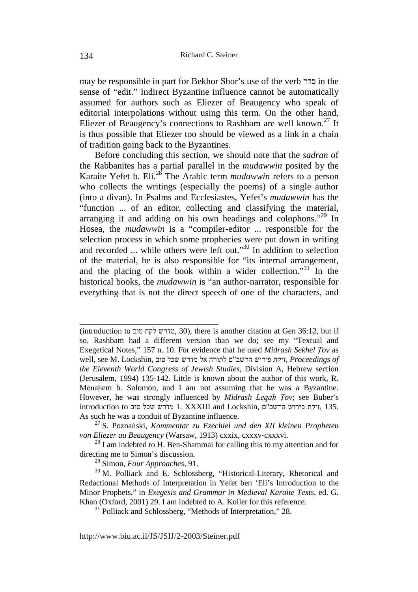may be responsible in part for Bekhor Shor's use of the verb סדר in the sense of "edit." Indirect Byzantine influence cannot be automatically assumed for authors such as Eliezer of Beaugency who speak of editorial interpolations without using this term. On the other hand, Eliezer of Beaugency's connections to Rashbam are well known.<sup>27</sup> It is thus possible that Eliezer too should be viewed as a link in a chain of tradition going back to the Byzantines.

Before concluding this section, we should note that the *sadran* of the Rabbanites has a partial parallel in the *mudawwin* posited by the Karaite Yefet b. Eli.28 The Arabic term *mudawwin* refers to a person who collects the writings (especially the poems) of a single author (into a divan). In Psalms and Ecclesiastes, Yefet's *mudawwin* has the "function ... of an editor, collecting and classifying the material, arranging it and adding on his own headings and colophons."<sup>29</sup> In Hosea, the *mudawwin* is a "compiler-editor ... responsible for the selection process in which some prophecies were put down in writing and recorded ... while others were left out."30 In addition to selection of the material, he is also responsible for "its internal arrangement, and the placing of the book within a wider collection." $31$  In the historical books, the *mudawwin* is "an author-narrator, responsible for everything that is not the direct speech of one of the characters, and

<sup>(</sup>introduction to טוב לקח מדרש, 30(, there is another citation at Gen 36:12, but if so, Rashbam had a different version than we do; see my "Textual and Exegetical Notes," 157 n. 10. For evidence that he used *Midrash Sekhel Tov* as  *of Proceedings* ,זיקת פירוש הרשב"ם לתורה אל מדרש שכל טוב ,Lockshin .M see ,well *the Eleventh World Congress of Jewish Studies*, Division A, Hebrew section (Jerusalem, 1994) 135-142. Little is known about the author of this work, R. Menahem b. Solomon, and I am not assuming that he was a Byzantine. However, he was strongly influenced by *Midrash Legah Tov*; see Buber's introduction to זיקת פירוש הרשב"ם 1. XXXIII and Lockshin, זיקת פירוש הרשב"ם As such he was a conduit of Byzantine influence.

<sup>27</sup> S. Poznański, *Kommentar zu Ezechiel und den XII kleinen Propheten von Eliezer au Beaugency* (Warsaw, 1913) cxxix, cxxxv-cxxxvi.

 $^{28}$  I am indebted to H. Ben-Shammai for calling this to my attention and for directing me to Simon's discussion.

<sup>29</sup> Simon, *Four Approaches*, 91.

<sup>&</sup>lt;sup>30</sup> M. Polliack and E. Schlossberg, "Historical-Literary, Rhetorical and Redactional Methods of Interpretation in Yefet ben 'Eli's Introduction to the Minor Prophets," in *Exegesis and Grammar in Medieval Karaite Texts*, ed. G. Khan (Oxford, 2001) 29. I am indebted to A. Koller for this reference.

<sup>&</sup>lt;sup>31</sup> Polliack and Schlossberg, "Methods of Interpretation," 28.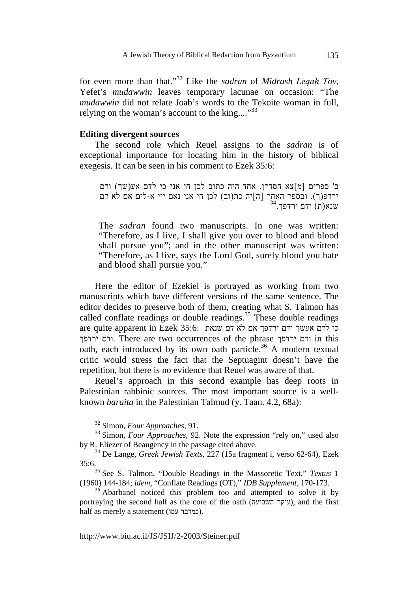for even more than that."<sup>32</sup> Like the *sadran* of *Midrash Legah Tov*, Yefet's *mudawwin* leaves temporary lacunae on occasion: "The *mudawwin* did not relate Joab's words to the Tekoite woman in full, relying on the woman's account to the king.... $^{33}$ 

#### **Editing divergent sources**

The second role which Reuel assigns to the *sadran* is of exceptional importance for locating him in the history of biblical exegesis. It can be seen in his comment to Ezek 35:6:

ב' ספרים [מ]צא הסדרן. אחד היה כתוב לכן חי אני כי לדם אע(שך) ודם ירדפ(ך). ובספר האחר [ה]יה כת(וב) לכן חי אני נאם ייי א-לים אם לא דם<br>שנא(ת) ודם ירדפך.<sup>34</sup>

The *sadran* found two manuscripts. In one was written: "Therefore, as I live, I shall give you over to blood and blood shall pursue you"; and in the other manuscript was written: "Therefore, as I live, says the Lord God, surely blood you hate and blood shall pursue you."

Here the editor of Ezekiel is portrayed as working from two manuscripts which have different versions of the same sentence. The editor decides to preserve both of them, creating what S. Talmon has called conflate readings or double readings.<sup>35</sup> These double readings are quite apparent in Ezek 35:6: כי לדם אעשר ודם ירדפך אם לא דם שנאת ירדפך ודם. There are two occurrences of the phrase ירדפך ודם in this oath, each introduced by its own oath particle.<sup>36</sup> A modern textual critic would stress the fact that the Septuagint doesn't have the repetition, but there is no evidence that Reuel was aware of that.

Reuel's approach in this second example has deep roots in Palestinian rabbinic sources. The most important source is a wellknown *baraita* in the Palestinian Talmud (y. Taan. 4.2, 68a):

 <sup>32</sup> Simon, *Four Approaches*, 91.

<sup>&</sup>lt;sup>33</sup> Simon, *Four Approaches*, 92. Note the expression "rely on," used also by R. Eliezer of Beaugency in the passage cited above.

<sup>34</sup> De Lange, *Greek Jewish Texts*, 227 (15a fragment i, verso 62-64), Ezek 35:6.

<sup>35</sup> See S. Talmon, "Double Readings in the Massoretic Text," *Textus* 1 (1960) 144-184; *idem*, "Conflate Readings (OT)," *IDB Supplement*, 170-173.

<sup>&</sup>lt;sup>36</sup> Abarbanel noticed this problem too and attempted to solve it by portraying the second half as the core of the oath (עיקר השבועה), and the first half as merely a statement (כמדבר עמו).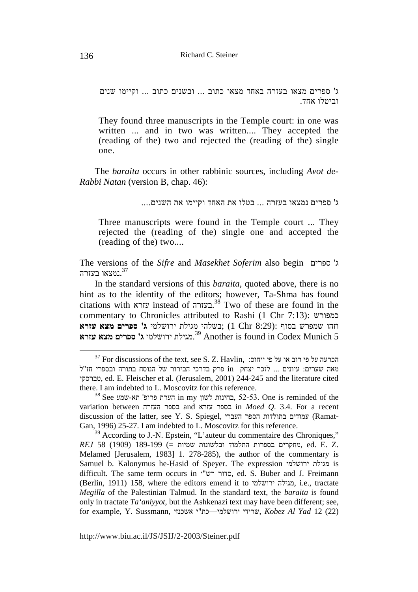ג' ספרים מצאו בעזרה באחד מצאו כתוב ... ובשנים כתוב ... וקיימו שנים וביטלו אחד .

They found three manuscripts in the Temple court: in one was written ... and in two was written.... They accepted the (reading of the) two and rejected the (reading of the) single one.

The *baraita* occurs in other rabbinic sources, including *Avot de-Rabbi Natan* (version B, chap. 46):

ג' ספרים נמצאו בעזרה ... בטלו את האחד וקיימו את השנים....

Three manuscripts were found in the Temple court ... They rejected the (reading of the) single one and accepted the (reading of the) two....

The versions of the *Sifre* and *Masekhet Soferim* also begin ספרים' ג נמצאו בעזרה. $\mathsf{^{37}}$ 

In the standard versions of this *baraita*, quoted above, there is no hint as to the identity of the editors; however, Ta-Shma has found citations with עזרא instead of בעזרה. 38 Two of these are found in the commentary to Chronicles attributed to Rashi (1 Chr 7:13): כמפורש וזהו שמפרש בסוף :(8:29 Chr 1; (בשלהי מגילת ירושלמי **ג' ספרים מצא עזרא** .מגילת ירושלמי **ג' ספרים מצא עזרא** 39 Another is found in Codex Munich 5

 $^{37}$  For discussions of the text, see S. Z. Havlin,  $\,$ ייחוס: ייחוס פי על הכרעה פי על הכרעה מאה שערים: עיונים ... לזכר יצחק in פרק בדרכי הבירור של הנוסח בתורה ובספרי חז"ל טברסקי, ed. E. Fleischer et al. (Jerusalem, 2001) 244-245 and the literature cited there. I am indebted to L. Moscovitz for this reference.

 $^{38}$  See בחינות הערת in my בחינות, 52-53. One is reminded of the variation between העזרה בספר and עזרא בספר in *Moed Q*. 3.4. For a recent discussion of the latter, see Y. S. Spiegel, העברי הספר בתולדות עמודים) Ramat-Gan, 1996) 25-27. I am indebted to L. Moscovitz for this reference.

 $39$  According to J.-N. Epstein, "L'auteur du commentaire des Chroniques," .Z .E .ed ,מחקרים בספרות התלמוד ובלשונות שמיות =) 189-199 (1909) 58 *REJ* Melamed [Jerusalem, 1983] 1. 278-285), the author of the commentary is Samuel b. Kalonymus he-H ̣asid of Speyer. The expression ירושלמי מגילת is difficult. The same term occurs in י"רש סדור, ed. S. Buber and J. Freimann (Berlin, 1911) 158, where the editors emend it to ירושלמי מגילה, i.e., tractate *Megilla* of the Palestinian Talmud. In the standard text, the *baraita* is found only in tractate *Ta'aniyyot*, but the Ashkenazi text may have been different; see, for example, Y. Sussmann, אשכנזי אשכנזי ירושלמי אשכנזי, *Kobez Al Yad* 12 (22)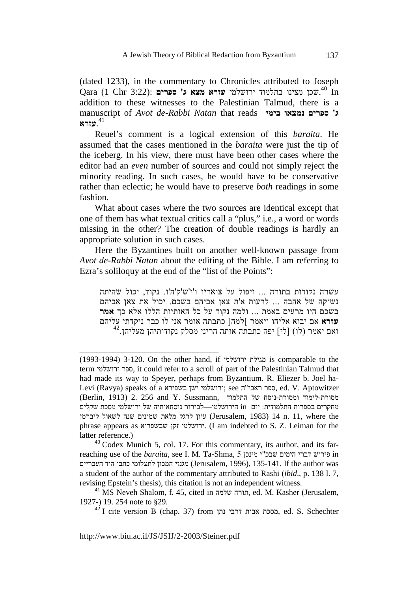(dated 1233), in the commentary to Chronicles attributed to Joseph .שכן מצינו בתלמוד ירושלמי **עזרא מצא ג' ספרים** :(3:22 Chr 1 (Qara 40 In addition to these witnesses to the Palestinian Talmud, there is a manuscript of *Avot de-Rabbi Natan* that reads **בימי נמצאו ספרים' ג** .**עזרא** 41

Reuel's comment is a logical extension of this *baraita*. He assumed that the cases mentioned in the *baraita* were just the tip of the iceberg. In his view, there must have been other cases where the editor had an *even* number of sources and could not simply reject the minority reading. In such cases, he would have to be conservative rather than eclectic; he would have to preserve *both* readings in some fashion.

What about cases where the two sources are identical except that one of them has what textual critics call a "plus," i.e., a word or words missing in the other? The creation of double readings is hardly an appropriate solution in such cases.

Here the Byzantines built on another well-known passage from *Avot de-Rabbi Natan* about the editing of the Bible. I am referring to Ezra's soliloquy at the end of the "list of the Points":

עשרה נקודות בתורה ... ויפול על צואריו ו'י'ש'ק'ה'ו. נקוד, יכול שהיתה נשיקה של אהבה ... לרעות א'ת צאן אביהם בשכם. יכול את צאן אביהם בשכם היו מרעים באמת ... ולמה נקוד על כל האותיות הללו אלא כך **אמר עזרא** אם יבוא אליהו ויאמר ]למה [ כתבתה אומר אני לו כבר ניקדתי עליהם  $^{42}$  ואם יאמר (לו) [לי] יפה כתבתה אותה הריני מסלק נקודותיהן מעליהן. $^{\rm 42}$ 

http://www.biu.ac.il/JS/JSIJ/2-2003/Steiner.pdf

<sup>(1993-1994) 3-120.</sup> On the other hand, if ירושלמי מגילת is comparable to the term ירושלמי ספר, it could refer to a scroll of part of the Palestinian Talmud that had made its way to Speyer, perhaps from Byzantium. R. Eliezer b. Joel ha-Levi (Ravya) speaks of a בשפירא ישן ירושלמי ;see ה"ראבי ספר, ed. V. Aptowitzer מסורת-לימוד ומסורת-נוסח של התלמוד ,Sussmann . מסורת-לימוד המסורת-נוסח של התלמוד מחקרים בספרות התלמודית: יום in הירושלמי—לבירור נוסחאותיה של ירושלמי מסכת שקלים עיון לרגל מלאת שמונים שנה לשאול ליברמן (Jerusalem, 1983) 14 n. 11, where the phrase appears as שבשפריא זקן ירושלמי.) I am indebted to S. Z. Leiman for the latter reference.)

 $40$  Codex Munich 5, col. 17. For this commentary, its author, and its farreaching use of the *baraita*, see I. M. Ta-Shma, 5 מינכן י "שבכ הימים דברי פירוש in מגנזי המכון לתצלומי כתבי היד העבריים (Jerusalem, 1996), 135-141. If the author was a student of the author of the commentary attributed to Rashi (*ibid*., p. 138 l. 7, revising Epstein's thesis), this citation is not an independent witness.

 $^{41}$  MS Neveh Shalom, f. 45, cited in תורה שלמה, ed. M. Kasher (Jerusalem, 1927-) 19. 254 note to §29.

 $^{42}$  I cite version B (chap. 37) from מסכת אבות דרבי נתן ed. S. Schechter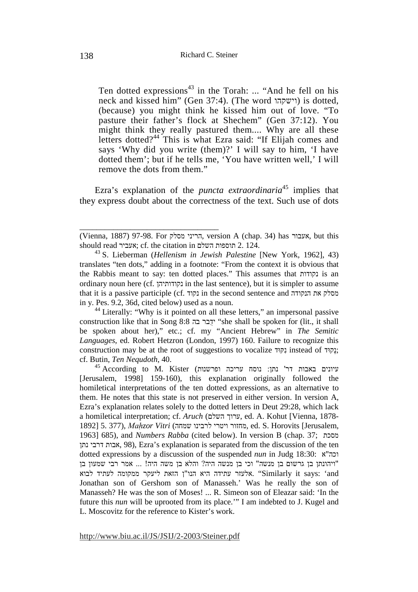Ten dotted expressions<sup>43</sup> in the Torah: ... "And he fell on his neck and kissed him" (Gen 37:4). (The word וישקהו (is dotted, (because) you might think he kissed him out of love. "To pasture their father's flock at Shechem" (Gen 37:12). You might think they really pastured them.... Why are all these letters dotted?<sup>44</sup> This is what Ezra said: "If Elijah comes and says 'Why did you write (them)?' I will say to him, 'I have dotted them'; but if he tells me, 'You have written well,' I will remove the dots from them."

Ezra's explanation of the *puncta extraordinaria*<sup>45</sup> implies that they express doubt about the correctness of the text. Such use of dots

\_\_\_\_\_\_\_\_\_\_\_\_\_\_\_\_\_\_\_\_\_\_\_\_\_\_\_\_\_\_\_\_\_

<sup>44</sup> Literally: "Why is it pointed on all these letters," an impersonal passive construction like that in Song 8:8 בה ידבר ֻ" she shall be spoken for (lit., it shall be spoken about her)," etc.; cf. my "Ancient Hebrew" in *The Semitic Languages*, ed. Robert Hetzron (London, 1997) 160. Failure to recognize this construction may be at the root of suggestions to vocalize קּוּדִנ instead of קוּדָנ ; cf. Butin, *Ten Nequdoth*, 40.

 $^{45}$  According to M. Kister (עיונים עריכה עריכה ופרשנות) איונים באבות דר' נתן: [Jerusalem, 1998] 159-160), this explanation originally followed the homiletical interpretations of the ten dotted expressions, as an alternative to them. He notes that this state is not preserved in either version. In version A, Ezra's explanation relates solely to the dotted letters in Deut 29:28, which lack a homiletical interpretation; cf. *Aruch* (השלם ערוך, ed. A. Kohut [Vienna, 1878- 1892] 5. 377), *Mah zor Vitri ̣* (שמחה לרבינו ויטרי מחזור, ed. S. Horovits [Jerusalem, 1963] 685), and *Numbers Rabba* (cited below). In version B (chap. 37; מסכת נתן דרבי אבות, 98(, Ezra's explanation is separated from the discussion of the ten dotted expressions by a discussion of the suspended *nun* in Judg 18:30: א "וכה "ויהונתן בן גרשום בן מנשה" וכי בן מנשה היה? והלא בן משה היה! ... אמר רבי שמעון בן אלעזר עתידה היא הנו"ן הזאת ליעקר ממקומה לעתיד לבוא. "Similarly it says: 'and Jonathan son of Gershom son of Manasseh.' Was he really the son of Manasseh? He was the son of Moses! ... R. Simeon son of Eleazar said: 'In the future this *nun* will be uprooted from its place.'" I am indebted to J. Kugel and L. Moscovitz for the reference to Kister's work.

<sup>(</sup>Vienna, 1887) 97-98. For מסלק הריני, version A (chap. 34) has אעבור, but this should read אעביר ;cf. the citation in השלם תוספות 2. 124.

<sup>43</sup> S. Lieberman (*Hellenism in Jewish Palestine* [New York, 1962], 43) translates "ten dots," adding in a footnote: "From the context it is obvious that the Rabbis meant to say: ten dotted places." This assumes that נקודות is an ordinary noun here (cf. נקודותיהן in the last sentence), but it is simpler to assume that it is a passive participle (cf. נקוד in the second sentence and הנקודה את הנקודה in y. Pes. 9.2, 36d, cited below) used as a noun.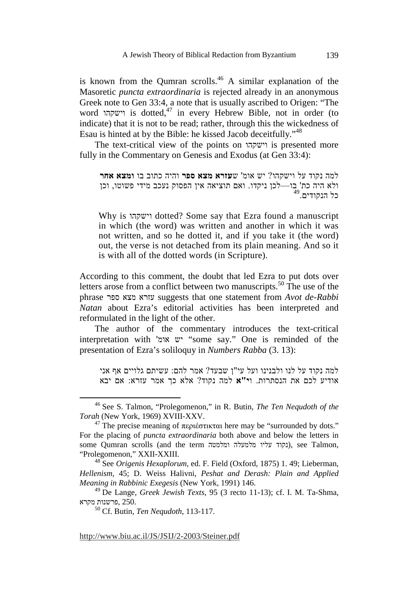is known from the Qumran scrolls.<sup>46</sup> A similar explanation of the Masoretic *puncta extraordinaria* is rejected already in an anonymous Greek note to Gen 33:4, a note that is usually ascribed to Origen: "The word וישקהו is dotted,47 in every Hebrew Bible, not in order (to indicate) that it is not to be read; rather, through this the wickedness of Esau is hinted at by the Bible: he kissed Jacob deceitfully."<sup>48</sup>

The text-critical view of the points on וישקהו is presented more fully in the Commentary on Genesis and Exodus (at Gen 33:4):

```
למה נקוד על וישקהו? יש אומ' שעזרא מצא ספר והיה כתוב בו ומצא אחר
ולא היה כת' בו—לכן ניקדו. ואם תוציאה אין הפסוק נעכב מידי פשוטו, וכן<br>כל הנקודים.<sup>49</sup>
```
Why is וישקהו dotted? Some say that Ezra found a manuscript in which (the word) was written and another in which it was not written, and so he dotted it, and if you take it (the word) out, the verse is not detached from its plain meaning. And so it is with all of the dotted words (in Scripture).

According to this comment, the doubt that led Ezra to put dots over letters arose from a conflict between two manuscripts.<sup>50</sup> The use of the phrase ספר מצא עזרא suggests that one statement from *Avot de-Rabbi Natan* about Ezra's editorial activities has been interpreted and reformulated in the light of the other.

The author of the commentary introduces the text-critical interpretation with 'יש אומ' "some say." One is reminded of the presentation of Ezra's soliloquy in *Numbers Rabba* (3. 13):

למה נקוד על לנו ולבנינו ועל עי"ן שבעד? אמר להם: עשיתם גלויים אף אני אודיע לכם את הנסתרות. ו**י"א** למה נקוד? אלא כך אמר עזרא: אם יבא

 <sup>46</sup> See S. Talmon, "Prolegomenon," in R. Butin, *The Ten Nequdoth of the Torah* (New York, 1969) XVIII-XXV.

<sup>&</sup>lt;sup>47</sup> The precise meaning of περιέστικται here may be "surrounded by dots." For the placing of *puncta extraordinaria* both above and below the letters in some Qumran scrolls (and the term ומלמטה מלמעלה עליו נקוד(, see Talmon, "Prolegomenon," XXII-XXIII.

<sup>48</sup> See *Origenis Hexaplorum*, ed. F. Field (Oxford, 1875) 1. 49; Lieberman, *Hellenism*, 45; D. Weiss Halivni, *Peshat and Derash: Plain and Applied Meaning in Rabbinic Exegesis* (New York, 1991) 146.

<sup>49</sup> De Lange, *Greek Jewish Texts*, 95 (3 recto 11-13); cf. I. M. Ta-Shma, פרשנות מקרא. $2\bar{5}0.$ 

<sup>50</sup> Cf. Butin, *Ten Nequdoth*, 113-117.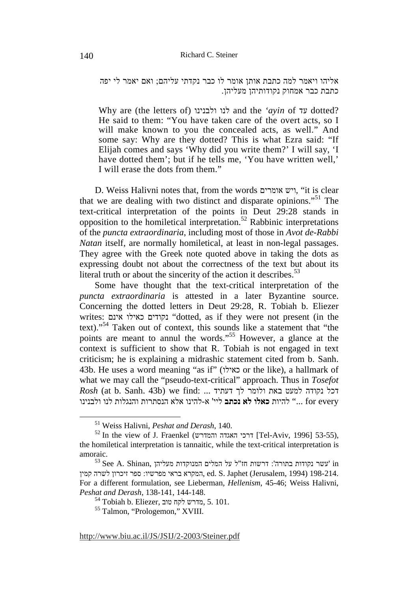אליהו ויאמר למה כתבת אותן אומר לו כבר נקדתי עליהם; ואם יאמר לי יפה כתבת כבר אמחוק נקודותיהן מעליהן .

Why are (the letters of) ולבנינו לנו and the *'ayin* of עד dotted? He said to them: "You have taken care of the overt acts, so I will make known to you the concealed acts, as well." And some say: Why are they dotted? This is what Ezra said: "If Elijah comes and says 'Why did you write them?' I will say, 'I have dotted them'; but if he tells me, 'You have written well,' I will erase the dots from them."

D. Weiss Halivni notes that, from the words אומרים ויש," it is clear that we are dealing with two distinct and disparate opinions."51 The text-critical interpretation of the points in Deut 29:28 stands in opposition to the homiletical interpretation.<sup>52</sup> Rabbinic interpretations of the *puncta extraordinaria*, including most of those in *Avot de-Rabbi Natan* itself, are normally homiletical, at least in non-legal passages. They agree with the Greek note quoted above in taking the dots as expressing doubt not about the correctness of the text but about its literal truth or about the sincerity of the action it describes.<sup>53</sup>

Some have thought that the text-critical interpretation of the *puncta extraordinaria* is attested in a later Byzantine source. Concerning the dotted letters in Deut 29:28, R. Tobiah b. Eliezer writes: אינם כאילו נקודים" dotted, as if they were not present (in the text)."54 Taken out of context, this sounds like a statement that "the points are meant to annul the words."55 However, a glance at the context is sufficient to show that R. Tobiah is not engaged in text criticism; he is explaining a midrashic statement cited from b. Sanh. 43b. He uses a word meaning "as if" (כאילו or the like), a hallmark of what we may call the "pseudo-text-critical" approach. Thus in *Tosefot*   $Rosh$  (at b. Sanh. 43b) we find: ... דכל נקודה למעט באת ולומר לך דעתיד every for ... "להיות **כאלו לא נכתב** ליי' א-להינו אלא הנסתרות והנגלות לנו ולבנינו

 <sup>51</sup> Weiss Halivni, *Peshat and Derash*, 140.

 $52$  In the view of J. Fraenkel (דרכי האגדה והמדרש [Tel-Aviv, 1996] 53-55), the homiletical interpretation is tannaitic, while the text-critical interpretation is amoraic.

 $^{53}$  See A. Shinan, מעליהן המנוקדות המנוקדות הז"ל על המלים המורה': דרשות ה ed. S. Japhet (Jerusalem, 1994) 198-214. (1994) המקרא בראי מפרשיו: ספר זיכרון לשרה קמין For a different formulation, see Lieberman, *Hellenism*, 45-46; Weiss Halivni, *Peshat and Derash*, 138-141, 144-148.

 $^{54}$ Tobiah b. Eliezer, מדרש לקח טוב, 5. 101.

<sup>55</sup> Talmon, "Prologemon," XVIII.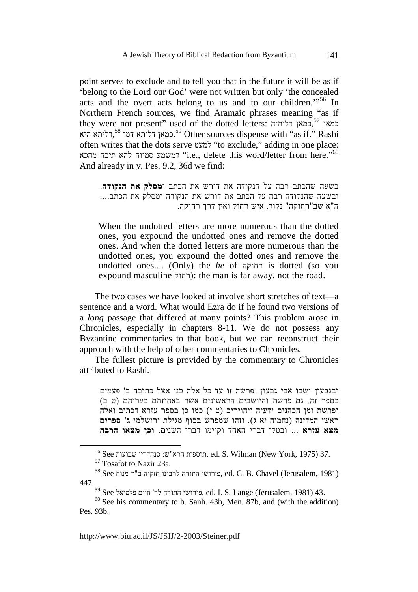point serves to exclude and to tell you that in the future it will be as if 'belong to the Lord our God' were not written but only 'the concealed acts and the overt acts belong to us and to our children.<sup>"56</sup> In Northern French sources, we find Aramaic phrases meaning "as if they were not present" used of the dotted letters: דליתיה כמאן, כמאן <sup>57</sup> כמאן דליתא דמי <sup>58</sup>,דליתא היא Other sources dispense with "as if." Rashi often writes that the dots serve למעט" to exclude," adding in one place: מהכא החיבה מהכא (i.e., delete this word/letter from here."60" And already in y. Pes. 9.2, 36d we find:

בשעה שהכתב רבה על הנקודה את דורש את הכתב ו**מסלק את הנקודה**. ובשעה שהנקודה רבה על הכתב את דורש את הנקודה ומסלק את הכתב.... ה"א שב"רחוקה" נקוד. איש רחוק ואין דרך רחוקה.

When the undotted letters are more numerous than the dotted ones, you expound the undotted ones and remove the dotted ones. And when the dotted letters are more numerous than the undotted ones, you expound the dotted ones and remove the undotted ones.... (Only) the *he* of רחוקה is dotted (so you expound masculine רחוק): the man is far away, not the road.

The two cases we have looked at involve short stretches of text—a sentence and a word. What would Ezra do if he found two versions of a *long* passage that differed at many points? This problem arose in Chronicles, especially in chapters 8-11. We do not possess any Byzantine commentaries to that book, but we can reconstruct their approach with the help of other commentaries to Chronicles.

The fullest picture is provided by the commentary to Chronicles attributed to Rashi.

ובגבעון ישבו אבי גבעון. פרשה זו עד כל אלה בני אצל כתובה ב' פעמים בספר זה. גם פרשת והיושבים הראשונים אשר באחוזתם בעריהם (ט ב ) ופרשת ומן הכהנים ידעיה ויהויריב (ט י) כמו כן בספר עזרא דכתיב ואלה ראשי המדינה (נחמיה יא ג). וזהו שמפרש בסוף מגילת ירושלמי **ג' ספרים מצא עזרא** ... ובטלו דברי האחד וקיימו דברי השנים. **וכן מצאו הרבה**

 $^{56}$  See תוספות הרא שבועות ed. S. Wilman (New York, 1975) 37.

<sup>57</sup> Tosafot to Nazir 23a.

 $^{58}$  See פירושי התורה לרבינו חזקיה ב"ר מנוח ed. C. B. Chavel (Jerusalem, 1981) 447.

 $^{59}$  See פירושי התורה לר' היים פלטיאל, ed. I. S. Lange (Jerusalem, 1981) 43.

 $60$  See his commentary to b. Sanh. 43b, Men. 87b, and (with the addition) Pes. 93b.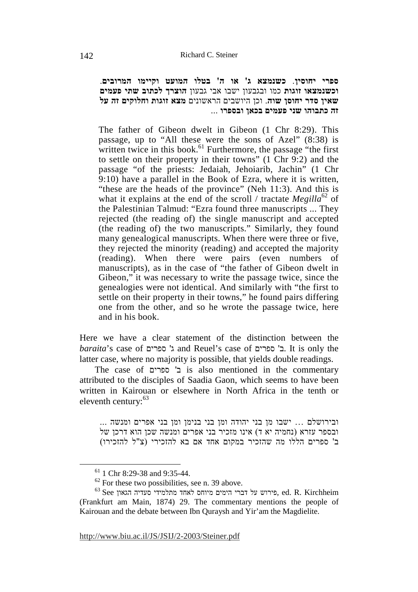**ספרי יחוסין**. **כשנמצא ג' או ה' בטלו המועט וקיימו המרובים**. **וכשנמצאו זוגות** כמו ובגבעון ישבו אבי גבעון **הוצרך לכתוב שתי פעמים שאין סדר יחוסן שוה**. וכן היושבים הראשונים **מצא זוגות וחלוקים זה על זה כתבוהו שני פעמים בכאן ובספרו** ...

The father of Gibeon dwelt in Gibeon (1 Chr 8:29). This passage, up to "All these were the sons of Azel" (8:38) is written twice in this book. $^{61}$  Furthermore, the passage "the first" to settle on their property in their towns" (1 Chr 9:2) and the passage "of the priests: Jedaiah, Jehoiarib, Jachin" (1 Chr 9:10) have a parallel in the Book of Ezra, where it is written, "these are the heads of the province" (Neh 11:3). And this is what it explains at the end of the scroll / tractate *Megilla*<sup>62</sup> of the Palestinian Talmud: "Ezra found three manuscripts ... They rejected (the reading of) the single manuscript and accepted (the reading of) the two manuscripts." Similarly, they found many genealogical manuscripts. When there were three or five, they rejected the minority (reading) and accepted the majority (reading). When there were pairs (even numbers of manuscripts), as in the case of "the father of Gibeon dwelt in Gibeon," it was necessary to write the passage twice, since the genealogies were not identical. And similarly with "the first to settle on their property in their towns," he found pairs differing one from the other, and so he wrote the passage twice, here and in his book.

Here we have a clear statement of the distinction between the *baraita*'s case of ספרים' ג and Reuel's case of ספרים' ב. It is only the latter case, where no majority is possible, that yields double readings.

The case of ספרים' ב is also mentioned in the commentary attributed to the disciples of Saadia Gaon, which seems to have been written in Kairouan or elsewhere in North Africa in the tenth or eleventh century:  $63$ 

ובירושלם Ö ישבו מן בני יהודה ומן בני בנימן ומן בני אפרים ומנשה ... ובספר עזרא (נחמיה יא ד) אינו מזכיר בני אפרים ומנשה שכן הוא דרכן של ב' ספרים הללו מה שהזכיר במקום אחד אם בא להזכירי ( צ"ל להזכירו)

 <sup>61 1</sup> Chr 8:29-38 and 9:35-44.

 $62$  For these two possibilities, see n. 39 above.

 $^{63}$ See הירוש על דברי הימים מיוחס לאחד מתלמידי סעדיה הגאון ed. R. Kirchheim (Frankfurt am Main, 1874) 29. The commentary mentions the people of Kairouan and the debate between Ibn Quraysh and Yir'am the Magdielite.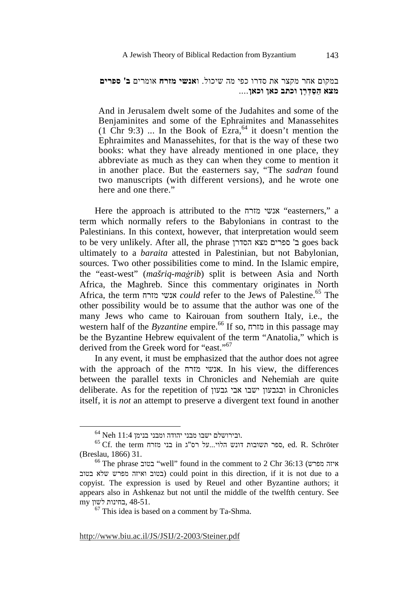במקום אחר מקצר את סדרו כפי מה שיכול. ו**אנשי מזרח** אומרים **ב' ספרים מצא ַ הַס ְדָרן וכתב כאן וכאן**....

And in Jerusalem dwelt some of the Judahites and some of the Benjaminites and some of the Ephraimites and Manassehites (1 Chr 9:3) ... In the Book of  $Exra<sub>1</sub><sup>64</sup>$  it doesn't mention the Ephraimites and Manassehites, for that is the way of these two books: what they have already mentioned in one place, they abbreviate as much as they can when they come to mention it in another place. But the easterners say, "The *sadran* found two manuscripts (with different versions), and he wrote one here and one there."

Here the approach is attributed to the מזרח אנשי" easterners," a term which normally refers to the Babylonians in contrast to the Palestinians. In this context, however, that interpretation would seem to be very unlikely. After all, the phrase הסדרן מצא ספרים' ב goes back ultimately to a *baraita* attested in Palestinian, but not Babylonian, sources. Two other possibilities come to mind. In the Islamic empire, the "east-west" (*mašriq-maġrib*) split is between Asia and North Africa, the Maghreb. Since this commentary originates in North Africa, the term מזרח אנשי *could* refer to the Jews of Palestine.65 The other possibility would be to assume that the author was one of the many Jews who came to Kairouan from southern Italy, i.e., the western half of the *Byzantine* empire.66 If so, מזרח in this passage may be the Byzantine Hebrew equivalent of the term "Anatolia," which is derived from the Greek word for "east."<sup>67</sup>

In any event, it must be emphasized that the author does not agree with the approach of the מזרח אנשי. In his view, the differences between the parallel texts in Chronicles and Nehemiah are quite deliberate. As for the repetition of גבעון אבי ישבו ובגבעון in Chronicles itself, it is *not* an attempt to preserve a divergent text found in another

 $^{64}$  Neh 11:4 .<br/>ומבני הלוי...על ישבו מבני מזרח ...<br> $^{65}$  Cf. the term נבני מזרח בני <br/>in נונש הלוי...על יהודה דונש הלוי...על פוני פני <br/>ed. R. Schröter (Breslau, 1866) 31.

 $^{66}$  The phrase בטוב "well" found in the comment to 2 Chr 36:13 (איזה מפרש בטוב ואיזה מפרש שלא בטוב) could point in this direction, if it is not due to a copyist. The expression is used by Reuel and other Byzantine authors; it appears also in Ashkenaz but not until the middle of the twelfth century. See 48-51. ,בחינות לשון my

 $67$  This idea is based on a comment by Ta-Shma.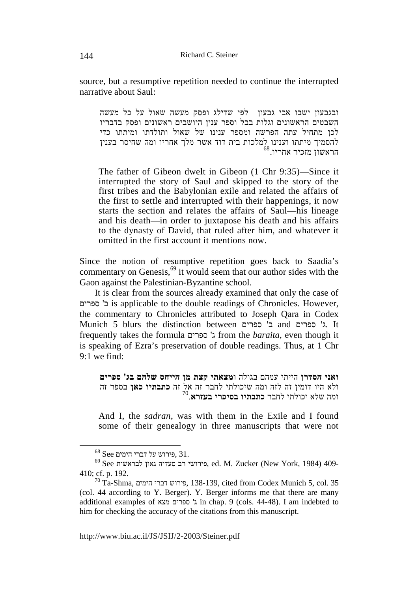source, but a resumptive repetition needed to continue the interrupted narrative about Saul:

ובגבעון ישבו אבי גבעון—לפי שדילג ופסק מעשה שאול על כל מעשה השבטים הראשונים וגלות בבל וספר ענין היושבים ראשונים ופסק בדבריו לכן מתחיל עתה הפרשה ומספר ענינו של שאול ותולדתו ומיתתו כדי להסמיך מיתתו וענינו למלכות בית דוד אשר מלך אחריו ומה שחיסר בענין  $^{68}.$ הראשון מזכיר אחריו

The father of Gibeon dwelt in Gibeon (1 Chr 9:35)—Since it interrupted the story of Saul and skipped to the story of the first tribes and the Babylonian exile and related the affairs of the first to settle and interrupted with their happenings, it now starts the section and relates the affairs of Saul—his lineage and his death—in order to juxtapose his death and his affairs to the dynasty of David, that ruled after him, and whatever it omitted in the first account it mentions now.

Since the notion of resumptive repetition goes back to Saadia's commentary on Genesis,  $69$  it would seem that our author sides with the Gaon against the Palestinian-Byzantine school.

It is clear from the sources already examined that only the case of ספרים' ב is applicable to the double readings of Chronicles. However, the commentary to Chronicles attributed to Joseph Qara in Codex Munich 5 blurs the distinction between ספרים' ב and ספרים' ג. It frequently takes the formula ספרים' ג from the *baraita*, even though it is speaking of Ezra's preservation of double readings. Thus, at 1 Chr  $9.1$  we find:

**ואני הסדרן** הייתי עמהם בגולה ו**מצאתי קצת מן הייחס שלהם בג' ספרים** ולא היו דומין זה לזה ומה שיכולתי לחבר זה אל זה **כתבתיו כאן** בספר זה 70 ומה שלא יכולתי לחבר **כתבתיו בסיפרי בעזרא**.

And I, the *sadran*, was with them in the Exile and I found some of their genealogy in three manuscripts that were not

 $^{68}$  See פירוש על דברי הימים, 31.

 $^{69}$  See לבראשית גאון סעדיה גאון סעדיה ed. M. Zucker (New York, 1984) 409-410; cf. p. 192.

 $^{70}$ Ta-Shma, פירוש דברי הימים, 138-139, cited from Codex Munich 5, col. 35 (col. 44 according to Y. Berger). Y. Berger informs me that there are many additional examples of מצא ספרים' ג in chap. 9 (cols. 44-48). I am indebted to him for checking the accuracy of the citations from this manuscript.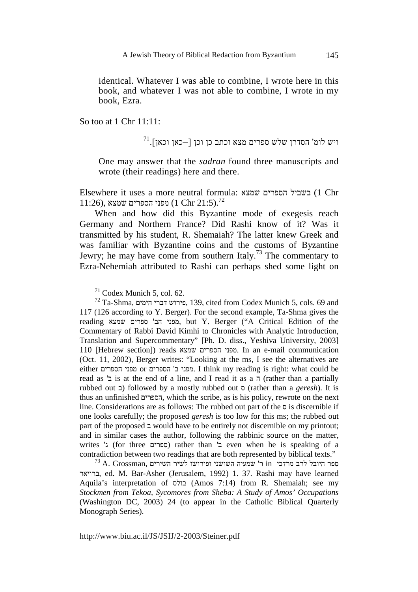identical. Whatever I was able to combine, I wrote here in this book, and whatever I was not able to combine, I wrote in my book, Ezra.

So too at 1 Chr 11:11:

 $^{71}.$ ויש לומ' הסדרן שלש ספרים מצא וכתב כן וכן [=כאן וכאן

One may answer that the *sadran* found three manuscripts and wrote (their readings) here and there.

Elsewhere it uses a more neutral formula: שמצא הספרים בשביל) 1 Chr 11:26), מפני הספרים שמצא (11:5).<sup>72</sup>

When and how did this Byzantine mode of exegesis reach Germany and Northern France? Did Rashi know of it? Was it transmitted by his student, R. Shemaiah? The latter knew Greek and was familiar with Byzantine coins and the customs of Byzantine Jewry; he may have come from southern Italy.<sup>73</sup> The commentary to Ezra-Nehemiah attributed to Rashi can perhaps shed some light on

 $71$  Codex Munich 5, col. 62.

 $^{72}$ Ta-Shma, פירוש דברי הימים, 139, cited from Codex Munich 5, cols. 69 and 117 (126 according to Y. Berger). For the second example, Ta-Shma gives the reading שמצא ספרים' הב מפני, but Y. Berger ("A Critical Edition of the Commentary of Rabbi David Kimhi to Chronicles with Analytic Introduction, Translation and Supercommentary" [Ph. D. diss., Yeshiva University, 2003] 110 [Hebrew section]) reads שמצא הספרים מפני. In an e-mail communication (Oct. 11, 2002), Berger writes: "Looking at the ms, I see the alternatives are either הספרים מפני or הספרים' ב מפני. I think my reading is right: what could be read as 'ב is at the end of a line, and I read it as a  $\pi$  (rather than a partially rubbed out ב (followed by a mostly rubbed out ס) rather than a *geresh*). It is thus an unfinished הספרים, which the scribe, as is his policy, rewrote on the next line. Considerations are as follows: The rubbed out part of the ס is discernible if one looks carefully; the proposed *geresh* is too low for this ms; the rubbed out part of the proposed ב would have to be entirely not discernible on my printout; and in similar cases the author, following the rabbinic source on the matter, writes 'ג) for three ספרים (rather than 'ב even when he is speaking of a contradiction between two readings that are both represented by biblical texts."

 $^{73}$ A. Grossman, ספר היובל לרב מרדכי in ר' שמעיה השושני ופירושו לשמעיה הש ברויאר, ed. M. Bar-Asher (Jerusalem, 1992) 1. 37. Rashi may have learned Aquila's interpretation of בולס) Amos 7:14) from R. Shemaiah; see my *Stockmen from Tekoa, Sycomores from Sheba: A Study of Amos' Occupations* (Washington DC, 2003) 24 (to appear in the Catholic Biblical Quarterly Monograph Series).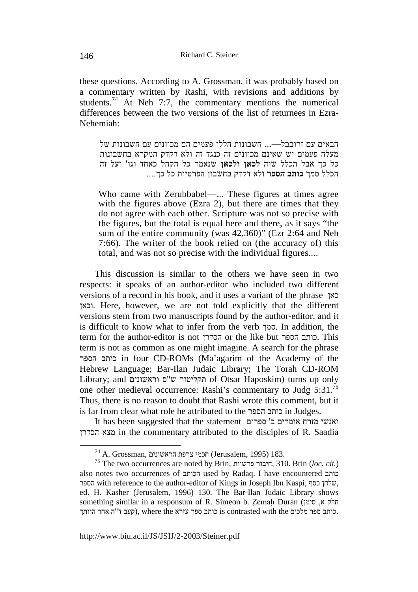these questions. According to A. Grossman, it was probably based on a commentary written by Rashi, with revisions and additions by students.<sup>74</sup> At Neh 7:7, the commentary mentions the numerical differences between the two versions of the list of returnees in Ezra-Nehemiah:

הבאים עם זרובבל— – חשבונות הללו פעמים הם מכוונים עם חשבונות של מעלה פעמים יש שאינם מכוונים זה כנגד זה ולא דקדק המקרא בחשבונות כל כך אבל הכלל שוה **לכאן ולכאן** שנאמר כל הקהל כאחד וגו' ועל זה הכלל סמך **כותב הספר** ולא דקדק בחשבון הפרטיות כל כך....

Who came with Zerubbabel—... These figures at times agree with the figures above (Ezra 2), but there are times that they do not agree with each other. Scripture was not so precise with the figures, but the total is equal here and there, as it says "the sum of the entire community (was 42,360)" (Ezr 2:64 and Neh 7:66). The writer of the book relied on (the accuracy of) this total, and was not so precise with the individual figures....

This discussion is similar to the others we have seen in two respects: it speaks of an author-editor who included two different versions of a record in his book, and it uses a variant of the phrase כאן וכאן. Here, however, we are not told explicitly that the different versions stem from two manuscripts found by the author-editor, and it is difficult to know what to infer from the verb סמך. In addition, the term for the author-editor is not הסדרן or the like but הספר כותב. This term is not as common as one might imagine. A search for the phrase הספר כותב in four CD-ROMs (Ma'agarim of the Academy of the Hebrew Language; Bar-Ilan Judaic Library; The Torah CD-ROM Library; and וראשונים ס"ש תקליטור of Otsar Haposkim) turns up only one other medieval occurrence: Rashi's commentary to Judg 5:31.<sup>75</sup> Thus, there is no reason to doubt that Rashi wrote this comment, but it is far from clear what role he attributed to the הספר כותב in Judges.

It has been suggested that the statement ספרים' ב אומרים מזרח ואנשי הסדרן מצא in the commentary attributed to the disciples of R. Saadia

 $^{74}$ A. Grossman, הראשונים (Jerusalem, 1995) <br/> 183.

<sup>75</sup> The two occurrences are noted by Brin, פרשיות חיבור, 310. Brin (*loc. cit.*) also notes two occurrences of הכותב used by Radaq. I have encountered כותב הספר with reference to the author-editor of Kings in Joseph Ibn Kaspi, כסף שלחן, ed. H. Kasher (Jerusalem, 1996) 130. The Bar-Ilan Judaic Library shows something similar in a responsum of R. Simeon b. Zemah Duran (הלק א, סימן, כותב ספר מלכים is contrasted with the כותב ספר עזרא contrasted with the כותב ספר מלכים.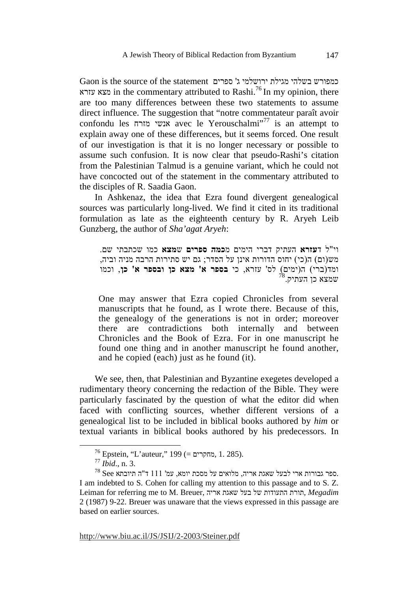Gaon is the source of the statement ספרים' ג ירושלמי מגילת בשלהי כמפורש עזרא in the commentary attributed to Rashi.<sup>76</sup> In my opinion, there are too many differences between these two statements to assume direct influence. The suggestion that "notre commentateur paraît avoir confondu les מזרח אנשי avec le Yerouschalmi"77 is an attempt to explain away one of these differences, but it seems forced. One result of our investigation is that it is no longer necessary or possible to assume such confusion. It is now clear that pseudo-Rashi's citation from the Palestinian Talmud is a genuine variant, which he could not have concocted out of the statement in the commentary attributed to the disciples of R. Saadia Gaon.

In Ashkenaz, the idea that Ezra found divergent genealogical sources was particularly long-lived. We find it cited in its traditional formulation as late as the eighteenth century by R. Aryeh Leib Gunzberg, the author of *Sha'agat Aryeh*:

וי"ל ד**עזרא** העתיק דברי הימים מ**כמה ספרים** ש**מצא** כמו שכתבתי שם . מש(ום) ה(כי) יחוס הדורות אינן על הסדר; גם יש סתירות הרבה מניה וביה, ומד(ברי) ( ה ימים) לס' עזרא, כי **בספר א' מצא כן ובספר א' כן**, וכמו  $^{78}$ שמצא כן העתיק.

One may answer that Ezra copied Chronicles from several manuscripts that he found, as I wrote there. Because of this, the genealogy of the generations is not in order; moreover there are contradictions both internally and between Chronicles and the Book of Ezra. For in one manuscript he found one thing and in another manuscript he found another, and he copied (each) just as he found (it).

We see, then, that Palestinian and Byzantine exegetes developed a rudimentary theory concerning the redaction of the Bible. They were particularly fascinated by the question of what the editor did when faced with conflicting sources, whether different versions of a genealogical list to be included in biblical books authored by *him* or textual variants in biblical books authored by his predecessors. In

 $^{76}$  Epstein, "L'auteur," 199 (= מחקרים, 1. 285).

<sup>77</sup> *Ibid*., n. 3.

 $^{78}$  See גבורות ארי לבעל שאגת אריה, מלואים על מסכת יומא, עמ' 111 ד"ה תיובתא. I am indebted to S. Cohen for calling my attention to this passage and to S. Z. Leiman for referring me to M. Breuer, אריה שאגת בעל של התעודות תורת, *Megadim* 2 (1987) 9-22. Breuer was unaware that the views expressed in this passage are based on earlier sources.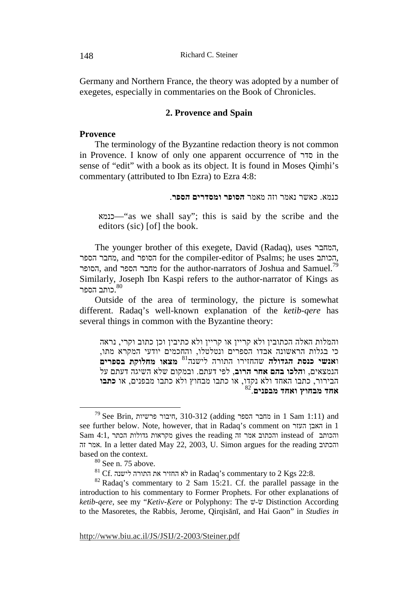Germany and Northern France, the theory was adopted by a number of exegetes, especially in commentaries on the Book of Chronicles.

## **2. Provence and Spain**

## **Provence**

The terminology of the Byzantine redaction theory is not common in Provence. I know of only one apparent occurrence of סדר in the sense of "edit" with a book as its object. It is found in Moses Oimhi's commentary (attributed to Ibn Ezra) to Ezra 4:8:

כנמא. כאשר נאמר וזה מאמר **הסופר ומסדרים הספר**.

כנמא"—as we shall say"; this is said by the scribe and the editors (sic) [of] the book.

The younger brother of this exegete, David (Radaq), uses המחבר, הספר מחבר, and הסופר for the compiler-editor of Psalms; he uses הכותב, הסופר, and החבר הספר for the author-narrators of Joshua and Samuel.<sup>79</sup> Similarly, Joseph Ibn Kaspi refers to the author-narrator of Kings as .כותב הספר 80

Outside of the area of terminology, the picture is somewhat different. Radaq's well-known explanation of the *ketib-qere* has several things in common with the Byzantine theory:

והמלות האלה הכתובין ולא קריין או קריין ולא כתיבין וכן כתוב וקרי, נראה כי בגלות הראשונה אבדו הספרים ונטלטלו, והחכמים יודעי המקרא מתו, **מצאו מחלוקת בספרים** <sup>81</sup> ו**אנשי כנסת הגדולה** שהחזירו התורה לישנה הנמצאים, ו**הלכו בהם אחר הרוב**, לפי דעתם. ובמקום שלא השיגה דעתם על הבירור, כתבו האחד ולא נקדו, או כתבו מבחוץ ולא כתבו מבפנים, או **כתבו** 82 **אחד מבחוץ ואחד מבפנים**.

148

 <sup>79</sup> See Brin, פרשיות חיבור, 310-312) adding הספר מחבר in 1 Sam 1:11) and see further below. Note, however, that in Radaq's comment on העזר האבן in 1 והכותב of instead והכתוב אמר זה reading the gives מקראות גדולות הכתר 4:1, Sam זה אמר. In a letter dated May 22, 2003, U. Simon argues for the reading הכתובו based on the context.

 $80$  See n. 75 above.

 $^{81}$  Cf. לישנה התורה את התורה לא in Radaq's commentary to 2 Kgs 22:8.

 $82$  Radaq's commentary to 2 Sam 15:21. Cf. the parallel passage in the introduction to his commentary to Former Prophets. For other explanations of *ketib-qere*, see my "*Ketiv-Kere* or Polyphony: The  $\ddot{v}$ - $\ddot{v}$  Distinction According to the Masoretes, the Rabbis, Jerome, Qirqisānī, and Hai Gaon" in *Studies in*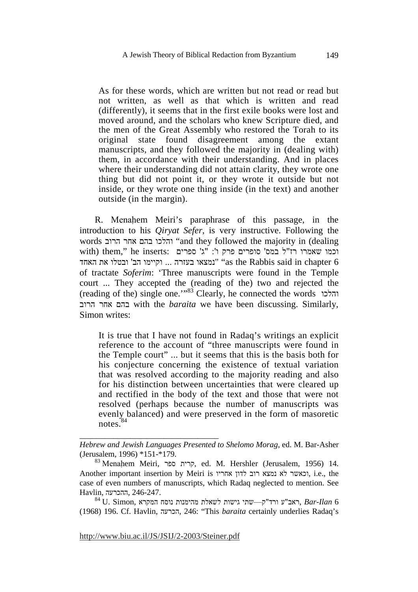As for these words, which are written but not read or read but not written, as well as that which is written and read (differently), it seems that in the first exile books were lost and moved around, and the scholars who knew Scripture died, and the men of the Great Assembly who restored the Torah to its original state found disagreement among the extant manuscripts, and they followed the majority in (dealing with) them, in accordance with their understanding. And in places where their understanding did not attain clarity, they wrote one thing but did not point it, or they wrote it outside but not inside, or they wrote one thing inside (in the text) and another outside (in the margin).

R. Menahem Meiri's paraphrase of this passage, in the introduction to his *Qiryat Sefer*, is very instructive. Following the words הרוב אחר בהם והלכו" and they followed the majority in (dealing  $\mu$ וכמו שאמרו רז"ל במס' סופרים פרק ו': "ג' ספרים : $\mu$  , hem," he inserts: וכמו נמצאו בעזרה ... וקיימו הב' ובטלו את האחד "as the Rabbis said in chapter 6 of tractate *Soferim*: 'Three manuscripts were found in the Temple court ... They accepted the (reading of the) two and rejected the (reading of the) single one.'"83 Clearly, he connected the words והלכו הרוב אחר בהם with the *baraita* we have been discussing. Similarly, Simon writes:

It is true that I have not found in Radaq's writings an explicit reference to the account of "three manuscripts were found in the Temple court" ... but it seems that this is the basis both for his conjecture concerning the existence of textual variation that was resolved according to the majority reading and also for his distinction between uncertainties that were cleared up and rectified in the body of the text and those that were not resolved (perhaps because the number of manuscripts was evenly balanced) and were preserved in the form of masoretic notes.<sup>84</sup>

 $^{84}$ U. Simon, האב"ע ורד"ק—שתי גישות לשאלת מהימנות נוסח המקרא, Bar-Ilan 6 (1968) 196. Cf. Havlin, הכרעה, 246:" This *baraita* certainly underlies Radaq's

http://www.biu.ac.il/JS/JSIJ/2-2003/Steiner.pdf

*Hebrew and Jewish Languages Presented to Shelomo Morag*, ed. M. Bar-Asher (Jerusalem, 1996) \*151-\*179.

 $^{83}$  Menahem Meiri, קרית ספר, ed. M. Hershler (Jerusalem, 1956) 14. Another important insertion by Meiri is אחריו לדון רוב נמצא לא וכאשר, i.e., the case of even numbers of manuscripts, which Radaq neglected to mention. See 246-247. ,ההכרעה ,Havlin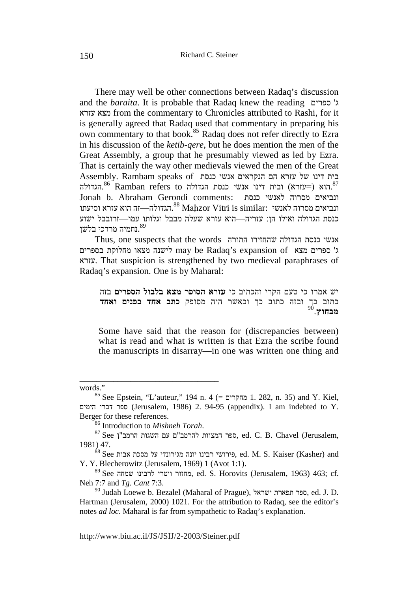There may well be other connections between Radaq's discussion and the *baraita*. It is probable that Radaq knew the reading ספרים' ג עזרא מצא from the commentary to Chronicles attributed to Rashi, for it is generally agreed that Radaq used that commentary in preparing his own commentary to that book.<sup>85</sup> Radaq does not refer directly to Ezra in his discussion of the *ketib-qere*, but he does mention the men of the Great Assembly, a group that he presumably viewed as led by Ezra. That is certainly the way other medievals viewed the men of the Great Eית דינו של עזרא הם הנקראים אנשי כנסת Assembly. Rambam speaks of הוא (=עזרא) ובית דינו אנשי כנסת הגדולה Ramban refers to הגדולה. $^{\rm 86}$ Jonah b. Abraham Gerondi comments: כנסת לאנשי מסרוה ונביאים הגדולה—זה הוא עזרא וסיעתו "Maḥzor Vitri is similar: האנשי. הוא הוא עזרא וסיעתו כנסת הגדולה ואילו הן: עזריה—הוא עזרא שעלה מבבל וגלותו עמו—זרובבל ישוע נחמיה מרדכי בלשן. $^{\rm 89}$ 

Thus, one suspects that the words התורה שהחזירו הגדולה כנסת אנשי ג' ספרים מצא of expansion s'Radaq be may לישנה מצאו מחלוקת בספרים עזרא. That suspicion is strengthened by two medieval paraphrases of Radaq's expansion. One is by Maharal:

יש אמרו כי טעם הקרי והכתיב כי **עזרא הסופר מצא בלבול הספרים** בזה כתוב כך ובזה כתוב כך וכאשר היה מסופק **כתב אחד בפנים ואחד** 90**מבחוץ**.

Some have said that the reason for (discrepancies between) what is read and what is written is that Ezra the scribe found the manuscripts in disarray—in one was written one thing and

words."

<sup>85</sup> See Epstein, "L'auteur," 194 n. 4 (= מחקרים 1. 282, n. 35) and Y. Kiel, הימים דברי ספר) Jerusalem, 1986) 2. 94-95 (appendix). I am indebted to Y. Berger for these references.<br><sup>86</sup> Introduction to *Mishneh Torah*.

<sup>86</sup> Introduction to *Mishneh Torah*. 87 See ן"הרמב השגות עם <sup>ם</sup>"להרמב המצוות ספר, ed. C. B. Chavel (Jerusalem, 1981) 47.

 $^{\rm 68}$  See הפירושי רבינו יונה מגירונדי על מסכת פירושי, ed. M. S. Kaiser (Kasher) and Y. Y. Blecherowitz (Jerusalem, 1969) 1 (Avot 1:1).

<sup>89</sup> See שמחה לרבינו ויטרי מחזור, ed. S. Horovits (Jerusalem, 1963) 463; cf. Neh 7:7 and *Tg. Cant* 7:3.

<sup>90</sup> Judah Loewe b. Bezalel (Maharal of Prague), ישראל תפארת ספר, ed. J. D. Hartman (Jerusalem, 2000) 1021. For the attribution to Radaq, see the editor's notes *ad loc*. Maharal is far from sympathetic to Radaq's explanation.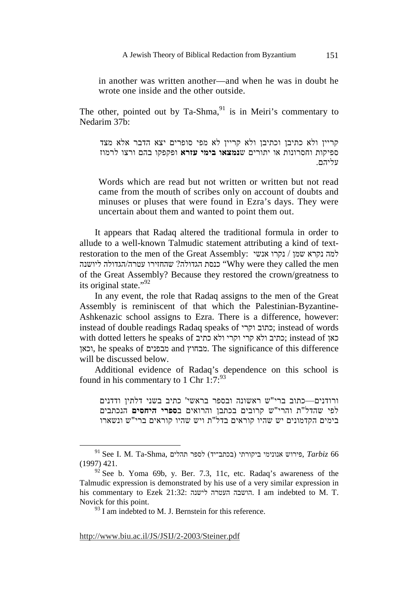in another was written another—and when he was in doubt he wrote one inside and the other outside.

The other, pointed out by Ta-Shma, $91$  is in Meiri's commentary to Nedarim 37b:

קריין ולא כתיבן וכתיבן ולא קריין לא מפי סופרים יצא הדבר אלא מצד ספיקות וחסרונות או יתורים ש**נמצאו בימי עזרא** ופקפקו בהם ורצו לרמוז .עליהם

Words which are read but not written or written but not read came from the mouth of scribes only on account of doubts and minuses or pluses that were found in Ezra's days. They were uncertain about them and wanted to point them out.

It appears that Radaq altered the traditional formula in order to allude to a well-known Talmudic statement attributing a kind of textrestoration to the men of the Great Assembly: אנשי נקרו / שמן נקרא למה ההזירו עטרה/הגדולה ליושנה (Why were they called the men of the Great Assembly? Because they restored the crown/greatness to its original state."<sup>92</sup>

In any event, the role that Radaq assigns to the men of the Great Assembly is reminiscent of that which the Palestinian-Byzantine-Ashkenazic school assigns to Ezra. There is a difference, however: instead of double readings Radaq speaks of וקרי כתוב ;instead of words with dotted letters he speaks of כתיב ולא וקרי קרי ולא כתיב ;instead of כאן וכאן, he speaks of מבפנים and מבחוץ. The significance of this difference will be discussed below.

Additional evidence of Radaq's dependence on this school is found in his commentary to 1 Chr  $1:7:^{93}$ 

ורודנים—כתוב ברי"ש ראשונה ובספר בראשי' כתיב בשני דלתין ודדנים לפי שהדל"ת והרי"ש קרובים בכתבן והרואים ב**ספרי היחסים** הנכתבים בימים הקדמונים יש שהיו קוראים בדל"ת ויש שהיו קוראים ברי "ש ונשארו

 $^{91}$  See I. M. Ta-Shma, פירוש אנונימי ביקורתי (בכתב־יד) לספר ההלים, Tarbiz 66 (1997) 421.

 $92$  See b. Yoma 69b, y. Ber. 7.3, 11c, etc. Radaq's awareness of the Talmudic expression is demonstrated by his use of a very similar expression in his commentary to Ezek 21:32: לישנה העטרה הושבה. I am indebted to M. T. Novick for this point.

 $93$  I am indebted to M. J. Bernstein for this reference.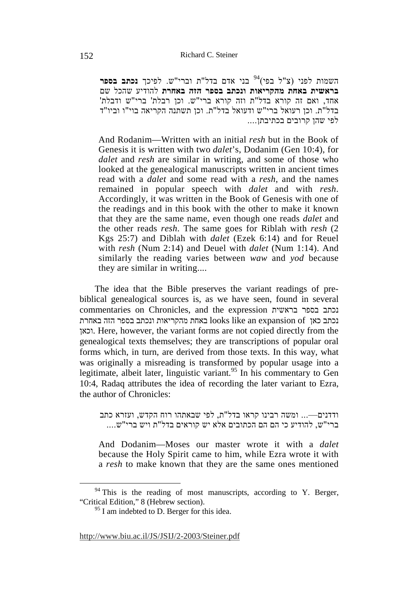בני אדם בדל"ת וברי"ש. לפיכך **נכתב בספר** <sup>94</sup> השמות לפני (צ"ל בפי) **בראשית באחת מהקריאות ונכתב בספר הזה באחרת** להודיע שהכל שם אחד, ואם זה קורא בדל"ת וזה קורא ברי"ש . וכן רבלת' ברי"ש ודבלת' בדל"ת. וכן רעואל ברי"ש ודעואל בדל"ת. וכן תשתנה הקריאה בוי"ו וביו "ד לפי שהן קרובים בכתיבתן....

And Rodanim—Written with an initial *resh* but in the Book of Genesis it is written with two *dalet*'s, Dodanim (Gen 10:4), for *dalet* and *resh* are similar in writing, and some of those who looked at the genealogical manuscripts written in ancient times read with a *dalet* and some read with a *resh*, and the names remained in popular speech with *dalet* and with *resh*. Accordingly, it was written in the Book of Genesis with one of the readings and in this book with the other to make it known that they are the same name, even though one reads *dalet* and the other reads *resh*. The same goes for Riblah with *resh* (2 Kgs 25:7) and Diblah with *dalet* (Ezek 6:14) and for Reuel with *resh* (Num 2:14) and Deuel with *dalet* (Num 1:14). And similarly the reading varies between *waw* and *yod* because they are similar in writing....

The idea that the Bible preserves the variant readings of prebiblical genealogical sources is, as we have seen, found in several commentaries on Chronicles, and the expression בראשית בספר נכתב נכתב כאן looks like an expansion of באחת מהקריאות ונכתב בספר הזה באחרת וכאן. Here, however, the variant forms are not copied directly from the genealogical texts themselves; they are transcriptions of popular oral forms which, in turn, are derived from those texts. In this way, what was originally a misreading is transformed by popular usage into a legitimate, albeit later, linguistic variant.<sup>95</sup> In his commentary to Gen 10:4, Radaq attributes the idea of recording the later variant to Ezra, the author of Chronicles:

ודדנים—... ומשה רבינו קראו בדל"ת, לפי שבאתהו רוח הקדש, ועזרא כתב ברי"ש, להודיע כי הם הם הכתובים אלא יש קוראים בדל"ת ויש ברי"ש....

And Dodanim—Moses our master wrote it with a *dalet* because the Holy Spirit came to him, while Ezra wrote it with a *resh* to make known that they are the same ones mentioned

 $94$  This is the reading of most manuscripts, according to Y. Berger, "Critical Edition," 8 (Hebrew section).

<sup>&</sup>lt;sup>95</sup> I am indebted to D. Berger for this idea.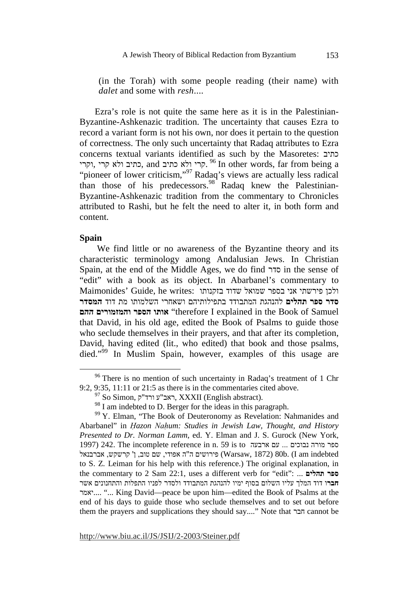(in the Torah) with some people reading (their name) with *dalet* and some with *resh*....

Ezra's role is not quite the same here as it is in the Palestinian-Byzantine-Ashkenazic tradition. The uncertainty that causes Ezra to record a variant form is not his own, nor does it pertain to the question of correctness. The only such uncertainty that Radaq attributes to Ezra concerns textual variants identified as such by the Masoretes: כתיב קרי ולא כתיב and כתיב ולא קרי, יקרי, יקרי, קרי קרי, קרי , and קרי , "pioneer of lower criticism,"<sup>97</sup> Radaq's views are actually less radical profile to lower criticism, radius of the extension of his predecessors.<sup>98</sup> Radaq knew the Palestinian-Byzantine-Ashkenazic tradition from the commentary to Chronicles attributed to Rashi, but he felt the need to alter it, in both form and content.

## **Spain**

 We find little or no awareness of the Byzantine theory and its characteristic terminology among Andalusian Jews. In Christian Spain, at the end of the Middle Ages, we do find סדר in the sense of "edit" with a book as its object. In Abarbanel's commentary to ולכו פירשתי אני בספר שמואל שדוד בזקנותו :Maimonides' Guide, he writes **סדר ספר תהלים** להנהגת המתבודד בתפילותיהם ושאחרי השלמותו מת דוד **המסדר ההם והמזמורים הספר אותו**" therefore I explained in the Book of Samuel that David, in his old age, edited the Book of Psalms to guide those who seclude themselves in their prayers, and that after its completion, David, having edited (lit., who edited) that book and those psalms, died."<sup>99</sup> In Muslim Spain, however, examples of this usage are

<sup>&</sup>lt;sup>96</sup> There is no mention of such uncertainty in Radaq's treatment of 1 Chr 9:2, 9:35, 11:11 or 21:5 as there is in the commentaries cited above.

 $^{97}$  So Simon, ראב"ע ורד"ק, XXXII (English abstract).

<sup>&</sup>lt;sup>98</sup> I am indebted to D. Berger for the ideas in this paragraph.

<sup>&</sup>lt;sup>99</sup> Y. Elman, "The Book of Deuteronomy as Revelation: Nahmanides and Abarbanel" in *Hazon Nahum: Studies in Jewish Law, Thought, and History Presented to Dr. Norman Lamm*, ed. Y. Elman and J. S. Gurock (New York, 1997) 242. The incomplete reference in n. 59 is to נבוכים ... עם ארבעה עם החבעה עם ה ליה (Warsaw, 1872) 30b. (I am indebted ו-Warsaw, 1872) 60b. (I am indebted to S. Z. Leiman for his help with this reference.) The original explanation, in the commentary to 2 Sam 22:1, uses a different verb for "edit": ... **תהלים ספר חבר**ו דוד המלך עליו השלום בסוף ימיו להנהגת המתבודד ולסדר לפניו התפלות והתחנונים אשר יאמר...." ... King David—peace be upon him—edited the Book of Psalms at the end of his days to guide those who seclude themselves and to set out before them the prayers and supplications they should say...." Note that חבר cannot be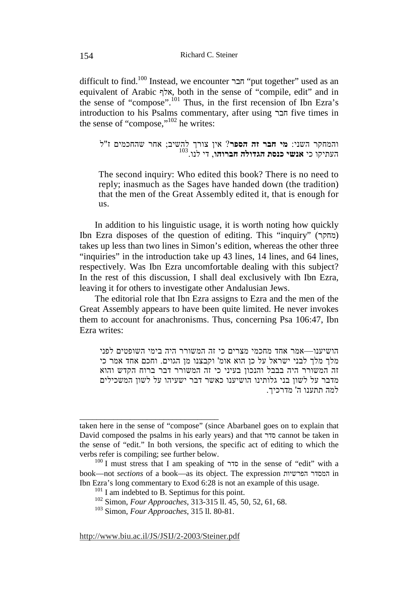difficult to find.<sup>100</sup> Instead, we encounter חבר "put together" used as an equivalent of Arabic אלף, both in the sense of "compile, edit" and in the sense of "compose".<sup>101</sup> Thus, in the first recension of Ibn Ezra's introduction to his Psalms commentary, after using חבר five times in the sense of "compose,"102 he writes:

והמחקר השני: **מי חבר זה הספר** ? אין צורך להשיב; אחר שהחכמים ז "ל 103 העתיקו כי **אנשי כנסת הגדולה חברוהו**, די לנו.

The second inquiry: Who edited this book? There is no need to reply; inasmuch as the Sages have handed down (the tradition) that the men of the Great Assembly edited it, that is enough for us.

In addition to his linguistic usage, it is worth noting how quickly Ibn Ezra disposes of the question of editing. This "inquiry" (מחקר) takes up less than two lines in Simon's edition, whereas the other three "inquiries" in the introduction take up 43 lines, 14 lines, and 64 lines, respectively. Was Ibn Ezra uncomfortable dealing with this subject? In the rest of this discussion, I shall deal exclusively with Ibn Ezra, leaving it for others to investigate other Andalusian Jews.

The editorial role that Ibn Ezra assigns to Ezra and the men of the Great Assembly appears to have been quite limited. He never invokes them to account for anachronisms. Thus, concerning Psa 106:47, Ibn Ezra writes:

הושיענו—אמר אחד מחכמי מצרים כי זה המשורר היה בימי השופטים לפני מלך מלך לבני ישראל על כן הוא אומ' וקבצנו מן הגוים. וחכם אחד אמר כי זה המשורר היה בבבל והנכון בעיני כי זה המשורר דבר ברוח הקדש והוא מדבר על לשון בני גלותינו הושיענו כאשר דבר ישעיהו על לשון המשכילים למה תתענו ה' מדרכיך .

taken here in the sense of "compose" (since Abarbanel goes on to explain that David composed the psalms in his early years) and that סדר cannot be taken in the sense of "edit." In both versions, the specific act of editing to which the verbs refer is compiling; see further below.

<sup>100</sup> I must stress that I am speaking of סדר in the sense of "edit" with a book—not *sections* of a book—as its object. The expression הפרשיות המסדר in Ibn Ezra's long commentary to Exod 6:28 is not an example of this usage.

 $101$  I am indebted to B. Septimus for this point.

<sup>102</sup> Simon, *Four Approaches*, 313-315 ll. 45, 50, 52, 61, 68.

<sup>103</sup> Simon, *Four Approaches*, 315 ll. 80-81.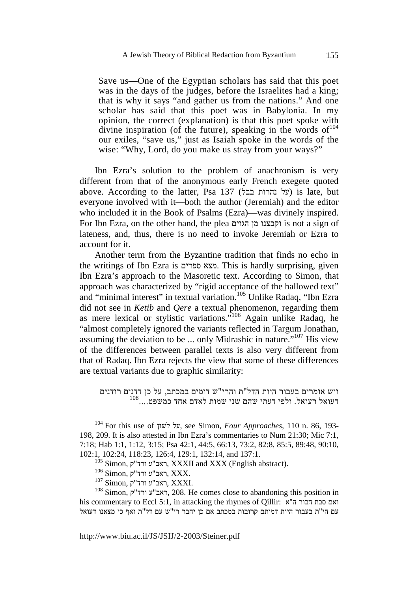Save us—One of the Egyptian scholars has said that this poet was in the days of the judges, before the Israelites had a king; that is why it says "and gather us from the nations." And one scholar has said that this poet was in Babylonia. In my opinion, the correct (explanation) is that this poet spoke with divine inspiration (of the future), speaking in the words of  $104$ our exiles, "save us," just as Isaiah spoke in the words of the wise: "Why, Lord, do you make us stray from your ways?"

Ibn Ezra's solution to the problem of anachronism is very different from that of the anonymous early French exegete quoted above. According to the latter, Psa 137 (בבל נהרות על (is late, but everyone involved with it—both the author (Jeremiah) and the editor who included it in the Book of Psalms (Ezra)—was divinely inspired. For Ibn Ezra, on the other hand, the plea הגוים מן וקבצנו is not a sign of lateness, and, thus, there is no need to invoke Jeremiah or Ezra to account for it.

Another term from the Byzantine tradition that finds no echo in the writings of Ibn Ezra is ספרים מצא. This is hardly surprising, given Ibn Ezra's approach to the Masoretic text. According to Simon, that approach was characterized by "rigid acceptance of the hallowed text" and "minimal interest" in textual variation.<sup>105</sup> Unlike Radaq, "Ibn Ezra" did not see in *Ketib* and *Qere* a textual phenomenon, regarding them as mere lexical or stylistic variations."106 Again unlike Radaq, he "almost completely ignored the variants reflected in Targum Jonathan, assuming the deviation to be ... only Midrashic in nature."107 His view of the differences between parallel texts is also very different from that of Radaq. Ibn Ezra rejects the view that some of these differences are textual variants due to graphic similarity:

ויש אומרים בעבור היות הדל"ת והרי"ש דומים במכתב, על כן דדנים רודנים 1<sup>08</sup>....דעואל רעואל. ולפי דעתי שהם שני שמות לאדם אחד כמשפט....<sup>108</sup>

 <sup>104</sup> For this use of לשון על, see Simon, *Four Approaches*, 110 n. 86, 193- 198, 209. It is also attested in Ibn Ezra's commentaries to Num 21:30; Mic 7:1, 7:18; Hab 1:1, 1:12, 3:15; Psa 42:1, 44:5, 66:13, 73:2, 82:8, 85:5, 89:48, 90:10, 102:1, 102:24, 118:23, 126:4, 129:1, 132:14, and 137:1.

 $^{105}$  Simon, ראב"ע ורד"ק, XXXII and XXX (English abstract).

 $^{106}$  Simon, ראב"ע ורד"ק), XXX.

 $^{107}$  Simon, ראב"ע ורד"ק, XXXI.

 $108$  Simon, ראב"ע ורד"ק, 208. He comes close to abandoning this position in his commentary to Eccl 5:1, in attacking the rhymes of Qillir: ואם סבת חבור ה"א עם חי"ת בעבור היות דמותם קרובות במכתב אם כן יחבר רי"ש עם דל"ת ואף כי מצאנו דעואל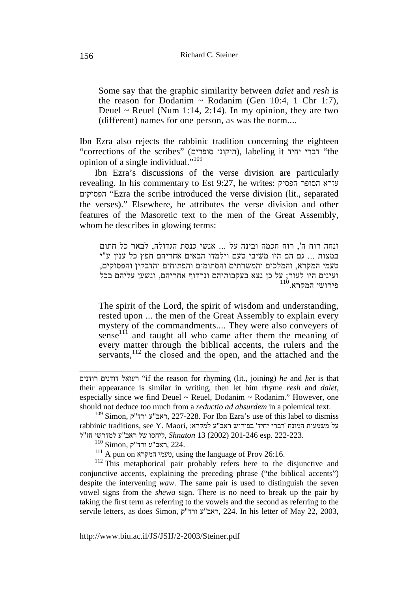Some say that the graphic similarity between *dalet* and *resh* is the reason for Dodanim  $\sim$  Rodanim (Gen 10:4, 1 Chr 1:7), Deuel  $\sim$  Reuel (Num 1:14, 2:14). In my opinion, they are two (different) names for one person, as was the norm....

Ibn Ezra also rejects the rabbinic tradition concerning the eighteen "corrections of the scribes" (תיקוני סופרים), labeling it יברי יחיד (the opinion of a single individual."<sup>109</sup>

Ibn Ezra's discussions of the verse division are particularly revealing. In his commentary to Est 9:27, he writes: הפסיק הסופר עזרא הפסוקים" Ezra the scribe introduced the verse division (lit., separated the verses)." Elsewhere, he attributes the verse division and other features of the Masoretic text to the men of the Great Assembly, whom he describes in glowing terms:

ונחה רוח ה', רוח חכמה ובינה על ... אנשי כנסת הגדולה, לבאר כל חתום במצות ... גם הם היו משיבי טעם וילמדו הבאים אחריהם חפץ כל ענין ע "י טעמי המקרא, והמלכים והמשרתים והסתומים והפתוחים והדבקין והפסוקים, ועינים היו לעור; על כן נצא בעקבותיהם ונרדוף אחריהם, ונשען עליהם בכל<br>פירושי המקרא.<sup>110</sup>

The spirit of the Lord, the spirit of wisdom and understanding, rested upon ... the men of the Great Assembly to explain every mystery of the commandments.... They were also conveyers of sense<sup>111</sup> and taught all who came after them the meaning of every matter through the biblical accents, the rulers and the servants,<sup>112</sup> the closed and the open, and the attached and the

רעואל דודנים רודנים "if the reason for rhyming (lit., joining) *he* and *het* is that their appearance is similar in writing, then let him rhyme *resh* and *dalet*, especially since we find Deuel  $\sim$  Reuel, Dodanim  $\sim$  Rodanim." However, one should not deduce too much from a *reductio ad absurdem* in a polemical text.

 $^{109}$  Simon, ראב"ע ורד"ק, 227-228. For Ibn Ezra's use of this label to dismiss rabbinic traditions, see Y. Maori, על משמעות המונח 'דברי יחיד' בפירוש ראב"ע למקרא: 222-223. .esp 201-246) 2002 (13 *Shnaton* ,ליחסו של ראב"ע למדרשי חז"ל

 $^{110}$  Simon, ראב"ע ורד"ק, 224.

 $111$  A pun on יעמי המקרא using the language of Prov 26:16.

<sup>&</sup>lt;sup>112</sup> This metaphorical pair probably refers here to the disjunctive and conjunctive accents, explaining the preceding phrase ("the biblical accents") despite the intervening *waw*. The same pair is used to distinguish the seven vowel signs from the *shewa* sign. There is no need to break up the pair by taking the first term as referring to the vowels and the second as referring to the servile letters, as does Simon, ק"ורד ע"ראב, 224. In his letter of May 22, 2003,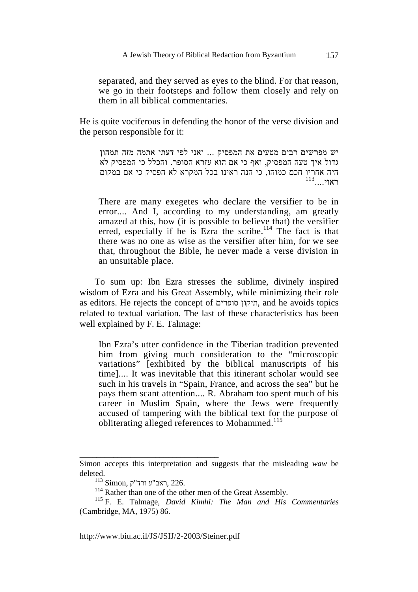separated, and they served as eyes to the blind. For that reason, we go in their footsteps and follow them closely and rely on them in all biblical commentaries.

He is quite vociferous in defending the honor of the verse division and the person responsible for it:

יש מפרשים רבים מטעים את המפסיק ... ואני לפי דעתי אתמה מזה תמהון גדול איך טעה המפסיק, ואף כי אם הוא עזרא הסופר. והכלל כי המפסיק לא היה אחריו חכם כמוהו, כי הנה ראינו בכל המקרא לא הפסיק כי אם במקום  $^{113}$ ראוי $\ldots$ 

There are many exegetes who declare the versifier to be in error.... And I, according to my understanding, am greatly amazed at this, how (it is possible to believe that) the versifier erred, especially if he is  $\operatorname{Ezra}$  the scribe.<sup>114</sup> The fact is that there was no one as wise as the versifier after him, for we see that, throughout the Bible, he never made a verse division in an unsuitable place.

To sum up: Ibn Ezra stresses the sublime, divinely inspired wisdom of Ezra and his Great Assembly, while minimizing their role as editors. He rejects the concept of סופרים תיקון, and he avoids topics related to textual variation. The last of these characteristics has been well explained by F. E. Talmage:

Ibn Ezra's utter confidence in the Tiberian tradition prevented him from giving much consideration to the "microscopic variations" [exhibited by the biblical manuscripts of his time].... It was inevitable that this itinerant scholar would see such in his travels in "Spain, France, and across the sea" but he pays them scant attention.... R. Abraham too spent much of his career in Muslim Spain, where the Jews were frequently accused of tampering with the biblical text for the purpose of obliterating alleged references to Mohammed.<sup>115</sup>

\_\_\_\_\_\_\_\_\_\_\_\_\_\_\_\_\_\_\_\_\_\_\_\_\_\_\_\_\_\_\_\_\_

Simon accepts this interpretation and suggests that the misleading *waw* be deleted.

 $^{113}$ Simon, ראב"ע ורד"ק, 226.

<sup>&</sup>lt;sup>114</sup> Rather than one of the other men of the Great Assembly.

<sup>115</sup> F. E. Talmage, *David Kimhi: The Man and His Commentaries* (Cambridge, MA, 1975) 86.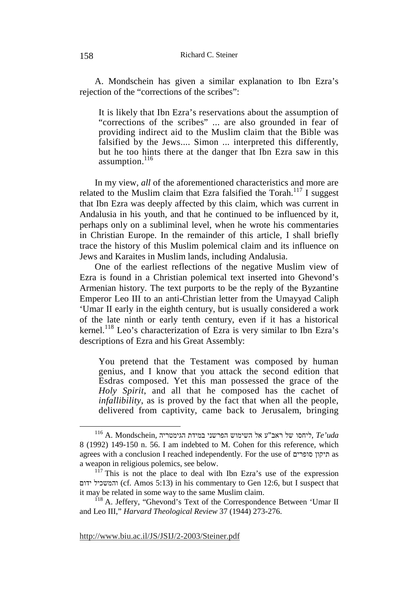A. Mondschein has given a similar explanation to Ibn Ezra's rejection of the "corrections of the scribes":

It is likely that Ibn Ezra's reservations about the assumption of "corrections of the scribes" ... are also grounded in fear of providing indirect aid to the Muslim claim that the Bible was falsified by the Jews.... Simon ... interpreted this differently, but he too hints there at the danger that Ibn Ezra saw in this assumption. $^{116}$ 

In my view, *all* of the aforementioned characteristics and more are related to the Muslim claim that Ezra falsified the Torah.<sup>117</sup> I suggest that Ibn Ezra was deeply affected by this claim, which was current in Andalusia in his youth, and that he continued to be influenced by it, perhaps only on a subliminal level, when he wrote his commentaries in Christian Europe. In the remainder of this article, I shall briefly trace the history of this Muslim polemical claim and its influence on Jews and Karaites in Muslim lands, including Andalusia.

One of the earliest reflections of the negative Muslim view of Ezra is found in a Christian polemical text inserted into Ghevond's Armenian history. The text purports to be the reply of the Byzantine Emperor Leo III to an anti-Christian letter from the Umayyad Caliph 'Umar II early in the eighth century, but is usually considered a work of the late ninth or early tenth century, even if it has a historical kernel.<sup>118</sup> Leo's characterization of Ezra is very similar to Ibn Ezra's descriptions of Ezra and his Great Assembly:

You pretend that the Testament was composed by human genius, and I know that you attack the second edition that Esdras composed. Yet this man possessed the grace of the *Holy Spirit*, and all that he composed has the cachet of *infallibility*, as is proved by the fact that when all the people, delivered from captivity, came back to Jerusalem, bringing

 $^{116}$ A. Mondschein, ליחסו של השימוש הפרשני במידת הגימטריה,  $\emph{Te'}$ יות הגימטריה,  $\emph{Te'}$ 8 (1992) 149-150 n. 56. I am indebted to M. Cohen for this reference, which agrees with a conclusion I reached independently. For the use of סופרים תיקון as a weapon in religious polemics, see below.

 $117$  This is not the place to deal with Ibn Ezra's use of the expression ידום והמשכיל) cf. Amos 5:13) in his commentary to Gen 12:6, but I suspect that it may be related in some way to the same Muslim claim.

<sup>&</sup>lt;sup>118</sup> A. Jeffery, "Ghevond's Text of the Correspondence Between 'Umar II and Leo III," *Harvard Theological Review* 37 (1944) 273-276.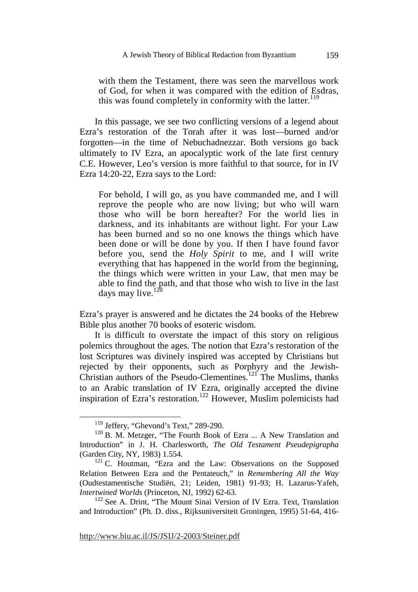with them the Testament, there was seen the marvellous work of God, for when it was compared with the edition of Esdras, this was found completely in conformity with the latter.<sup>119</sup>

In this passage, we see two conflicting versions of a legend about Ezra's restoration of the Torah after it was lost—burned and/or forgotten—in the time of Nebuchadnezzar. Both versions go back ultimately to IV Ezra, an apocalyptic work of the late first century C.E. However, Leo's version is more faithful to that source, for in IV Ezra 14:20-22, Ezra says to the Lord:

For behold, I will go, as you have commanded me, and I will reprove the people who are now living; but who will warn those who will be born hereafter? For the world lies in darkness, and its inhabitants are without light. For your Law has been burned and so no one knows the things which have been done or will be done by you. If then I have found favor before you, send the *Holy Spirit* to me, and I will write everything that has happened in the world from the beginning, the things which were written in your Law, that men may be able to find the path, and that those who wish to live in the last days may live.<sup>120</sup>

Ezra's prayer is answered and he dictates the 24 books of the Hebrew Bible plus another 70 books of esoteric wisdom.

It is difficult to overstate the impact of this story on religious polemics throughout the ages. The notion that Ezra's restoration of the lost Scriptures was divinely inspired was accepted by Christians but rejected by their opponents, such as Porphyry and the Jewish-Christian authors of the Pseudo-Clementines.<sup>121</sup> The Muslims, thanks to an Arabic translation of IV Ezra, originally accepted the divine inspiration of Ezra's restoration.<sup>122</sup> However, Muslim polemicists had

<sup>&</sup>lt;sup>119</sup> Jeffery, "Ghevond's Text," 289-290.

<sup>&</sup>lt;sup>120</sup> B. M. Metzger, "The Fourth Book of Ezra ... A New Translation and Introduction" in J. H. Charlesworth, *The Old Testament Pseudepigrapha* (Garden City, NY, 1983) 1.554.

 $121$  C. Houtman, "Ezra and the Law: Observations on the Supposed Relation Between Ezra and the Pentateuch," in *Remembering All the Way* (Oudtestamentische Studiën, 21; Leiden, 1981) 91-93; H. Lazarus-Yafeh, *Intertwined Worlds* (Princeton, NJ, 1992) 62-63.

<sup>&</sup>lt;sup>122</sup> See A. Drint, "The Mount Sinai Version of IV Ezra. Text, Translation and Introduction" (Ph. D. diss., Rijksuniversiteit Groningen, 1995) 51-64, 416-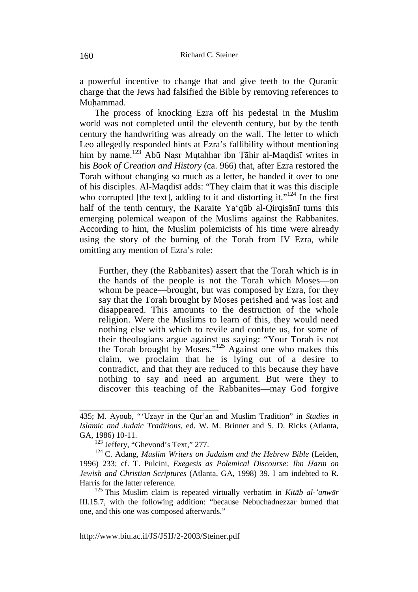a powerful incentive to change that and give teeth to the Quranic charge that the Jews had falsified the Bible by removing references to Muhammad.

The process of knocking Ezra off his pedestal in the Muslim world was not completed until the eleventh century, but by the tenth century the handwriting was already on the wall. The letter to which Leo allegedly responded hints at Ezra's fallibility without mentioning him by name.<sup>123</sup> Abū Nasr Mutahhar ibn Tāhir al-Maqdisī writes in his *Book of Creation and History* (ca. 966) that, after Ezra restored the Torah without changing so much as a letter, he handed it over to one of his disciples. Al-Maqdisī adds: "They claim that it was this disciple who corrupted [the text], adding to it and distorting it." $124$  In the first half of the tenth century, the Karaite Ya'qūb al-Qirqisānī turns this emerging polemical weapon of the Muslims against the Rabbanites. According to him, the Muslim polemicists of his time were already using the story of the burning of the Torah from IV Ezra, while omitting any mention of Ezra's role:

Further, they (the Rabbanites) assert that the Torah which is in the hands of the people is not the Torah which Moses—on whom be peace—brought, but was composed by Ezra, for they say that the Torah brought by Moses perished and was lost and disappeared. This amounts to the destruction of the whole religion. Were the Muslims to learn of this, they would need nothing else with which to revile and confute us, for some of their theologians argue against us saying: "Your Torah is not the Torah brought by Moses."125 Against one who makes this claim, we proclaim that he is lying out of a desire to contradict, and that they are reduced to this because they have nothing to say and need an argument. But were they to discover this teaching of the Rabbanites—may God forgive

<sup>435;</sup> M. Ayoub, "'Uzayr in the Qur'an and Muslim Tradition" in *Studies in Islamic and Judaic Traditions*, ed. W. M. Brinner and S. D. Ricks (Atlanta, GA, 1986) 10-11.

<sup>123</sup> Jeffery, "Ghevond's Text," 277.

<sup>124</sup> C. Adang, *Muslim Writers on Judaism and the Hebrew Bible* (Leiden, 1996) 233; cf. T. Pulcini, *Exegesis as Polemical Discourse: Ibn Hazm on Jewish and Christian Scriptures* (Atlanta, GA, 1998) 39. I am indebted to R. Harris for the latter reference.

<sup>125</sup> This Muslim claim is repeated virtually verbatim in *Kitāb al-'anwār* III.15.7, with the following addition: "because Nebuchadnezzar burned that one, and this one was composed afterwards."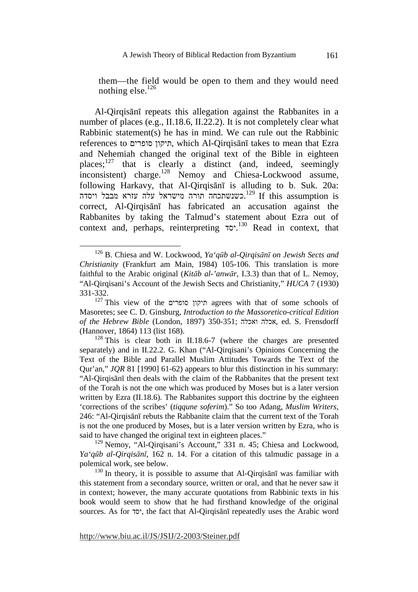them—the field would be open to them and they would need nothing else. $126$ 

Al-Qirqisānī repeats this allegation against the Rabbanites in a number of places (e.g., II.18.6, II.22.2). It is not completely clear what Rabbinic statement(s) he has in mind. We can rule out the Rabbinic references to סופרים תיקון, which Al-Qirqisānī takes to mean that Ezra and Nehemiah changed the original text of the Bible in eighteen places; $127$  that is clearly a distinct (and, indeed, seemingly inconsistent) charge.<sup>128</sup> Nemoy and Chiesa-Lockwood assume, following Harkavy, that Al-Qirqisānī is alluding to b. Suk. 20a: .כשנשתכחה תורה מישראל עלה עזרא מבבל ויסדה <sup>129</sup> If this assumption is correct, Al-Qirqisānī has fabricated an accusation against the Rabbanites by taking the Talmud's statement about Ezra out of context and, perhaps, reinterpreting יסד. 130 Read in context, that

 <sup>126</sup> B. Chiesa and W. Lockwood, *Ya'qūb al-Qirqisānī on Jewish Sects and Christianity* (Frankfurt am Main, 1984) 105-106. This translation is more faithful to the Arabic original (*Kitāb al-'anwār*, I.3.3) than that of L. Nemoy, "Al-Qirqisani's Account of the Jewish Sects and Christianity," *HUCA* 7 (1930) 331-332.

<sup>127</sup> This view of the סופרים תיקון agrees with that of some schools of Masoretes; see C. D. Ginsburg, *Introduction to the Massoretico-critical Edition of the Hebrew Bible* (London, 1897) 350-351; ואכלה אכלה, ed. S. Frensdorff (Hannover, 1864) 113 (list 168).

 $128$  This is clear both in II.18.6-7 (where the charges are presented separately) and in II.22.2. G. Khan ("Al-Qirqisani's Opinions Concerning the Text of the Bible and Parallel Muslim Attitudes Towards the Text of the Qur'an," *JQR* 81 [1990] 61-62) appears to blur this distinction in his summary: "Al-Qirqisānī then deals with the claim of the Rabbanites that the present text of the Torah is not the one which was produced by Moses but is a later version written by Ezra (II.18.6). The Rabbanites support this doctrine by the eighteen 'corrections of the scribes' (*tiqqune soferim*)." So too Adang, *Muslim Writers*, 246: "Al-Qirqisānī rebuts the Rabbanite claim that the current text of the Torah is not the one produced by Moses, but is a later version written by Ezra, who is said to have changed the original text in eighteen places."

<sup>&</sup>lt;sup>129</sup> Nemoy, "Al-Qirqisani's Account," 331 n. 45; Chiesa and Lockwood, *Ya'qūb al-Qirqisānī*, 162 n. 14. For a citation of this talmudic passage in a polemical work, see below.

 $130$  In theory, it is possible to assume that Al-Oirgisant was familiar with this statement from a secondary source, written or oral, and that he never saw it in context; however, the many accurate quotations from Rabbinic texts in his book would seem to show that he had firsthand knowledge of the original sources. As for יסד, the fact that Al-Qirqisānī repeatedly uses the Arabic word

http://www.biu.ac.il/JS/JSIJ/2-2003/Steiner.pdf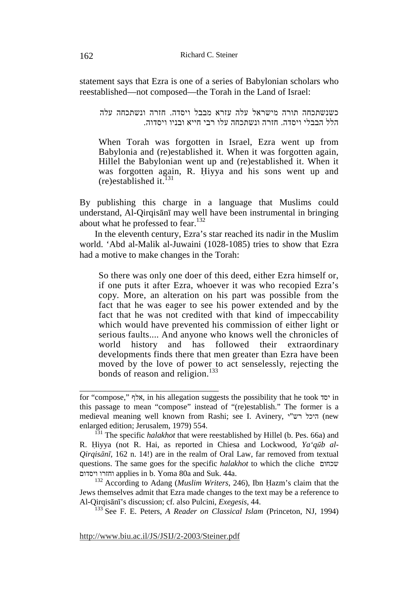statement says that Ezra is one of a series of Babylonian scholars who reestablished—not composed—the Torah in the Land of Israel:

כשנשתכחה תורה מישראל עלה עזרא מבבל ויסדה . חזרה ונשתכחה עלה הלל הבבלי ויסדה . חזרה ונשתכחה עלו רבי חייא ובניו ויסדוה .

When Torah was forgotten in Israel, Ezra went up from Babylonia and (re)established it. When it was forgotten again, Hillel the Babylonian went up and (re)established it. When it was forgotten again, R. Hiyya and his sons went up and (re)established it. $^{131}$ 

By publishing this charge in a language that Muslims could understand, Al-Qirqisānī may well have been instrumental in bringing about what he professed to fear.<sup>132</sup>

In the eleventh century, Ezra's star reached its nadir in the Muslim world. 'Abd al-Malik al-Juwaini (1028-1085) tries to show that Ezra had a motive to make changes in the Torah:

So there was only one doer of this deed, either Ezra himself or, if one puts it after Ezra, whoever it was who recopied Ezra's copy. More, an alteration on his part was possible from the fact that he was eager to see his power extended and by the fact that he was not credited with that kind of impeccability which would have prevented his commission of either light or serious faults.... And anyone who knows well the chronicles of world history and has followed their extraordinary developments finds there that men greater than Ezra have been moved by the love of power to act senselessly, rejecting the bonds of reason and religion.<sup>133</sup>

 $132$  According to Adang (*Muslim Writers*, 246), Ibn Hazm's claim that the Jews themselves admit that Ezra made changes to the text may be a reference to Al-Qirqisānī's discussion; cf. also Pulcini, *Exegesis*, 44.

133 See F. E. Peters, *A Reader on Classical Islam* (Princeton, NJ, 1994)

http://www.biu.ac.il/JS/JSIJ/2-2003/Steiner.pdf

for "compose," אלף, in his allegation suggests the possibility that he took יסד in this passage to mean "compose" instead of "(re)establish." The former is a medieval meaning well known from Rashi; see I. Avinery, י"רש היכל) new enlarged edition; Jerusalem, 1979) 554.

<sup>&</sup>lt;sup>131</sup> The specific *halakhot* that were reestablished by Hillel (b. Pes. 66a) and R. Hiyya (not R. Hai, as reported in Chiesa and Lockwood, *Ya'qūb al-Qirqisānī*, 162 n. 14!) are in the realm of Oral Law, far removed from textual questions. The same goes for the specific *halakhot* to which the cliche שכחום ויסדום וחזרו applies in b. Yoma 80a and Suk. 44a.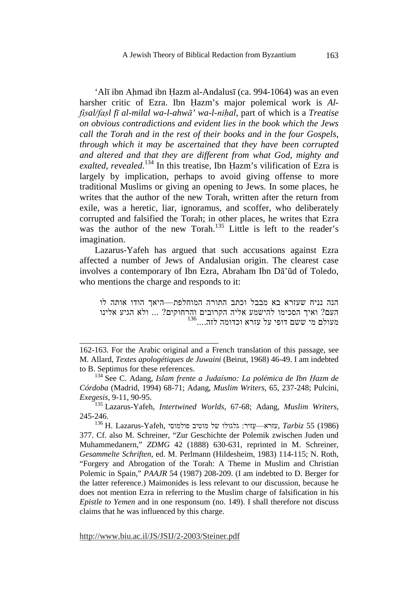'Alī ibn Ahmad ibn Hazm al-Andalusī (ca. 994-1064) was an even harsher critic of Ezra. Ibn Hazm's major polemical work is *Alfis ̣al/fas ̣l fī al-milal wa-l-ahwā' wa-l-nih ̣al*, part of which is a *Treatise on obvious contradictions and evident lies in the book which the Jews call the Torah and in the rest of their books and in the four Gospels, through which it may be ascertained that they have been corrupted and altered and that they are different from what God, mighty and*  exalted, revealed.<sup>134</sup> In this treatise, Ibn Hazm's vilification of Ezra is largely by implication, perhaps to avoid giving offense to more traditional Muslims or giving an opening to Jews. In some places, he writes that the author of the new Torah, written after the return from exile, was a heretic, liar, ignoramus, and scoffer, who deliberately corrupted and falsified the Torah; in other places, he writes that Ezra was the author of the new Torah.<sup>135</sup> Little is left to the reader's imagination.

Lazarus-Yafeh has argued that such accusations against Ezra affected a number of Jews of Andalusian origin. The clearest case involves a contemporary of Ibn Ezra, Abraham Ibn Dā'ūd of Toledo, who mentions the charge and responds to it:

הנה נניח שעזרא בא מבבל וכתב התורה המוחלפת—היאך הודו אותה לו העם? ואיך הסכימו להישמע אליה הקרובים והרחוקים? ... ולא הגיע אלינו<br>מעולם מי ששם דופי על עזרא וכדומה לזה....<sup>136</sup>

http://www.biu.ac.il/JS/JSIJ/2-2003/Steiner.pdf

<sup>162-163.</sup> For the Arabic original and a French translation of this passage, see M. Allard, *Textes apologétiques de Juwaini* (Beirut, 1968) 46-49. I am indebted to B. Septimus for these references.

<sup>&</sup>lt;sup>134</sup> See C. Adang, *Islam frente a Judaísmo: La polémica de Ibn Hazm de Córdoba* (Madrid, 1994) 68-71; Adang, *Muslim Writers*, 65, 237-248; Pulcini, *Exegesis*, 9-11, 90-95.

<sup>135</sup> Lazarus-Yafeh, *Intertwined Worlds*, 67-68; Adang, *Muslim Writers*, 245-246.

 $^{136}$ H. Lazarus-Yafeh, עזרא—עזיר: גלגולו של גלגולו גלגולו , $Tarbiz$ 55 (1986) 377. Cf. also M. Schreiner, "Zur Geschichte der Polemik zwischen Juden und Muhammedanern," *ZDMG* 42 (1888) 630-631, reprinted in M. Schreiner, *Gesammelte Schriften*, ed. M. Perlmann (Hildesheim, 1983) 114-115; N. Roth, "Forgery and Abrogation of the Torah: A Theme in Muslim and Christian Polemic in Spain," *PAAJR* 54 (1987) 208-209. (I am indebted to D. Berger for the latter reference.) Maimonides is less relevant to our discussion, because he does not mention Ezra in referring to the Muslim charge of falsification in his *Epistle to Yemen* and in one responsum (no. 149). I shall therefore not discuss claims that he was influenced by this charge.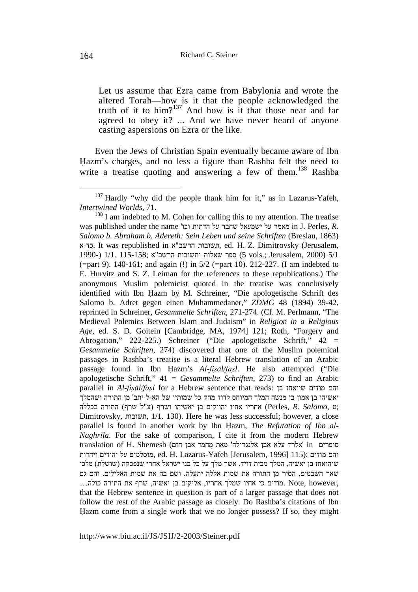Let us assume that Ezra came from Babylonia and wrote the altered Torah—how is it that the people acknowledged the truth of it to him?<sup>137</sup> And how is it that those near and far agreed to obey it? ... And we have never heard of anyone casting aspersions on Ezra or the like.

Even the Jews of Christian Spain eventually became aware of Ibn Hazm's charges, and no less a figure than Rashba felt the need to write a treatise quoting and answering a few of them.<sup>138</sup> Rashba

<sup>&</sup>lt;sup>137</sup> Hardly "why did the people thank him for it," as in Lazarus-Yafeh, *Intertwined Worlds*, 71.

 $138$  I am indebted to M. Cohen for calling this to my attention. The treatise was published under the name 'וכו הדתות על שחבר ישמעאל על מאמר in J. Perles, *R. Salomo b. Abraham b. Adereth: Sein Leben und seine Schriften* (Breslau, 1863) א-כד. It was republished in א"הרשב תשובות, ed. H. Z. Dimitrovsky (Jerusalem, 1990-) 1/1. 115-158; הרשב"א הרשב"א (5 vols.; Jerusalem, 2000) 5/1 (=part 9). 140-161; and again (!) in 5/2 (=part 10). 212-227. (I am indebted to E. Hurvitz and S. Z. Leiman for the references to these republications.) The anonymous Muslim polemicist quoted in the treatise was conclusively identified with Ibn Hazm by M. Schreiner, "Die apologetische Schrift des Salomo b. Adret gegen einen Muhammedaner," *ZDMG* 48 (1894) 39-42, reprinted in Schreiner, *Gesammelte Schriften*, 271-274. (Cf. M. Perlmann, "The Medieval Polemics Between Islam and Judaism" in *Religion in a Religious Age*, ed. S. D. Goitein [Cambridge, MA, 1974] 121; Roth, "Forgery and Abrogation," 222-225.) Schreiner ("Die apologetische Schrift," 42 = *Gesammelte Schriften*, 274) discovered that one of the Muslim polemical passages in Rashba's treatise is a literal Hebrew translation of an Arabic passage found in Ibn Hazm's *Al-fisal/fasl*. He also attempted ("Die apologetische Schrift," 41 = *Gesammelte Schriften*, 273) to find an Arabic parallel in *Al-fis ̣al/fas ̣l* for a Hebrew sentence that reads: בן שיואחז מודים והם יאשיהו בן אמון בן מנשה המלך המיוחס לדוד מחק כל שמותיו של הא-ל יתב' מן התורה ושהמלך  $(Perles, R.$  *Salomo*, צ"ל שרף) אחריו אחיו יהויקים בן יאשיהו ושרף (צ"ל שרף) התורה בכללה Dimitrovsky, תשובות, 1/1. 130(. Here he was less successful; however, a close parallel is found in another work by Ibn Hazm, *The Refutation of Ibn al-Naghrīla*. For the sake of comparison, I cite it from the modern Hebrew סופרים in 'אלרד עלא אבן אלנגרילה' מאת מחמד אבן חזם) והאלרד עלא אבן להגרילה והם מודים :<racion (115) dd. H. Lazarus-Yafeh [Jerusalem, 1996] והם מודים ויהדות שיהואחז בן יאשיה, המלך מבית דויד, אשר מלך על כל בני ישראל אחרי שנפסקה (שושלת) מלכי שאר השבטים, הסיר מן התורה את שמות אללה יתעלה, ושם בה את שמות האלילים. והם גם , however, מודים כי אחיו שמלך אחריו, אליקים בן יאשיה, שרף את התורה כולה... that the Hebrew sentence in question is part of a larger passage that does not follow the rest of the Arabic passage as closely. Do Rashba's citations of Ibn Hazm come from a single work that we no longer possess? If so, they might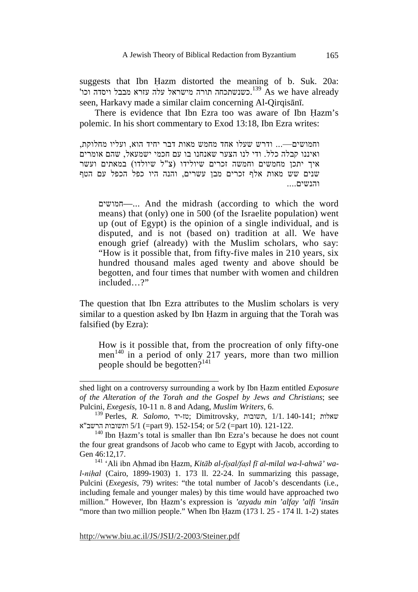suggests that Ibn Hazm distorted the meaning of b. Suk. 20a: 'כשנשתכחה תורה מישראל עלה עזרא מבבל ויסדה וכו $^{139}$  As we have already seen, Harkavy made a similar claim concerning Al-Qirqisānī.

There is evidence that Ibn Ezra too was aware of Ibn Hazm's polemic. In his short commentary to Exod 13:18, Ibn Ezra writes:

וחמושים—... ודרש שעלו אחד מחמש מאות דבר יחיד הוא, ועליו מחלוקת, ואיננו קבלה כלל. ודי לנו הצער שאנחנו בו עם חכמי ישמעאל, שהם אומרים איך יתכן מחמשים וחמשה זכרים שיולידו (צ"ל שיולדו) במאתים ועשר שנים שש מאות אלף זכרים מבן עשרים, והנה היו כפל הכפל עם הטף והנשים....

חמושים—... And the midrash (according to which the word means) that (only) one in 500 (of the Israelite population) went up (out of Egypt) is the opinion of a single individual, and is disputed, and is not (based on) tradition at all. We have enough grief (already) with the Muslim scholars, who say: "How is it possible that, from fifty-five males in 210 years, six hundred thousand males aged twenty and above should be begotten, and four times that number with women and children included ?"

The question that Ibn Ezra attributes to the Muslim scholars is very similar to a question asked by Ibn Hazm in arguing that the Torah was falsified (by Ezra):

How is it possible that, from the procreation of only fifty-one men<sup>140</sup> in a period of only 217 years, more than two million people should be begotten?<sup>141</sup>

shed light on a controversy surrounding a work by Ibn Hazm entitled *Exposure of the Alteration of the Torah and the Gospel by Jews and Christians*; see Pulcini, *Exegesis*, 10-11 n. 8 and Adang, *Muslim Writers*, 6.

שאלות ;140-141 1/1. ,תשובות ,Dimitrovsky; טז-יד ,*Salomo .R* ,Perles 139 121-122. .(10 part (=5/2 or; 152-154 .)9 part (=5/1 ותשובות הרשב"א

 $140$  Ibn Hazm's total is smaller than Ibn Ezra's because he does not count the four great grandsons of Jacob who came to Egypt with Jacob, according to Gen 46:12,17.

<sup>141 &#</sup>x27;Ali ibn Ahmad ibn Hazm, *Kitāb al-fisal/fasl fī al-milal wa-l-ahwā*' wa*l-nihal* (Cairo, 1899-1903) 1. 173 ll. 22-24. In summarizing this passage, Pulcini (*Exegesis*, 79) writes: "the total number of Jacob's descendants (i.e., including female and younger males) by this time would have approached two million." However, Ibn Hazm's expression is 'azyadu min 'alfay 'alfi 'insān "more than two million people." When Ibn Hazm  $(173 \text{ l}$ .  $25 - 174 \text{ l}$ . 1-2) states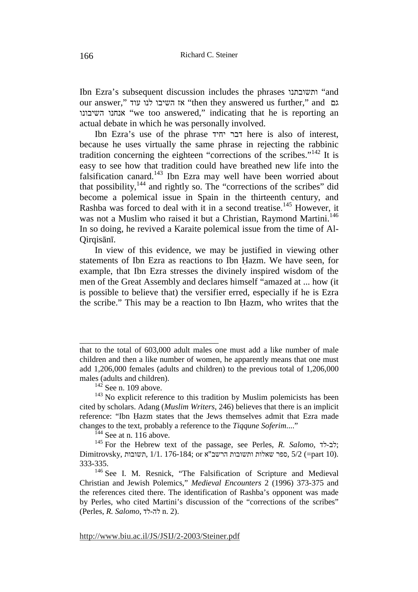Ibn Ezra's subsequent discussion includes the phrases ותשובתנו" and our answer," עוד לנו השיבו אז" then they answered us further," and גם השיבונו אנחנו" we too answered," indicating that he is reporting an actual debate in which he was personally involved.

Ibn Ezra's use of the phrase יחיד דבר here is also of interest, because he uses virtually the same phrase in rejecting the rabbinic tradition concerning the eighteen "corrections of the scribes."142 It is easy to see how that tradition could have breathed new life into the falsification canard.143 Ibn Ezra may well have been worried about that possibility, $144$  and rightly so. The "corrections of the scribes" did become a polemical issue in Spain in the thirteenth century, and Rashba was forced to deal with it in a second treatise.<sup>145</sup> However, it was not a Muslim who raised it but a Christian, Raymond Martini.<sup>146</sup> In so doing, he revived a Karaite polemical issue from the time of Al-Qirqisānī.

In view of this evidence, we may be justified in viewing other statements of Ibn Ezra as reactions to Ibn Hazm. We have seen, for example, that Ibn Ezra stresses the divinely inspired wisdom of the men of the Great Assembly and declares himself "amazed at ... how (it is possible to believe that) the versifier erred, especially if he is Ezra the scribe." This may be a reaction to Ibn Hazm, who writes that the

\_\_\_\_\_\_\_\_\_\_\_\_\_\_\_\_\_\_\_\_\_\_\_\_\_\_\_\_\_\_\_\_\_

 $^{144}$  See at n. 116 above.

that to the total of 603,000 adult males one must add a like number of male children and then a like number of women, he apparently means that one must add 1,206,000 females (adults and children) to the previous total of 1,206,000 males (adults and children).

 $142$  See n. 109 above.

 $143$  No explicit reference to this tradition by Muslim polemicists has been cited by scholars. Adang (*Muslim Writers*, 246) believes that there is an implicit reference: "Ibn Hazm states that the Jews themselves admit that Ezra made changes to the text, probably a reference to the *Tiqqune Soferim*...."

<sup>145</sup> For the Hebrew text of the passage, see Perles, *R. Salomo*, לד-לב ; Dimitrovsky, ספר שאלות ותשובות הרשב"א or; 176-184; השובות ,5/2 (=part 10). 333-335.

<sup>&</sup>lt;sup>146</sup> See I. M. Resnick, "The Falsification of Scripture and Medieval Christian and Jewish Polemics," *Medieval Encounters* 2 (1996) 373-375 and the references cited there. The identification of Rashba's opponent was made by Perles, who cited Martini's discussion of the "corrections of the scribes" (Perles, *R. Salomo*, לד-לה n. 2).